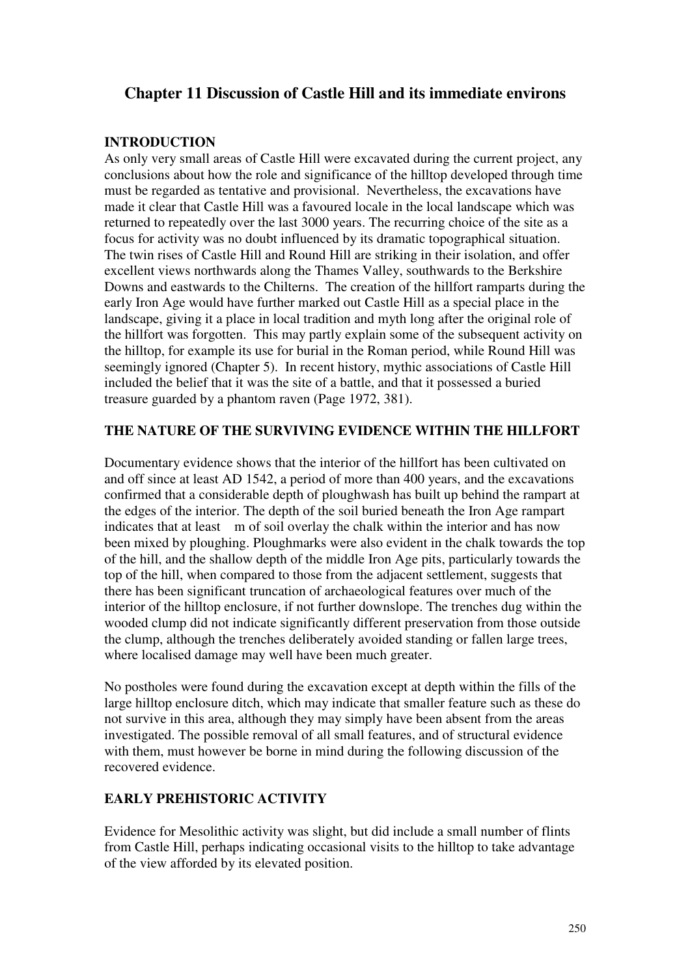# **Chapter 11 Discussion of Castle Hill and its immediate environs**

# **INTRODUCTION**

As only very small areas of Castle Hill were excavated during the current project, any conclusions about how the role and significance of the hilltop developed through time must be regarded as tentative and provisional. Nevertheless, the excavations have made it clear that Castle Hill was a favoured locale in the local landscape which was returned to repeatedly over the last 3000 years. The recurring choice of the site as a focus for activity was no doubt influenced by its dramatic topographical situation. The twin rises of Castle Hill and Round Hill are striking in their isolation, and offer excellent views northwards along the Thames Valley, southwards to the Berkshire Downs and eastwards to the Chilterns. The creation of the hillfort ramparts during the early Iron Age would have further marked out Castle Hill as a special place in the landscape, giving it a place in local tradition and myth long after the original role of the hillfort was forgotten. This may partly explain some of the subsequent activity on the hilltop, for example its use for burial in the Roman period, while Round Hill was seemingly ignored (Chapter 5). In recent history, mythic associations of Castle Hill included the belief that it was the site of a battle, and that it possessed a buried treasure guarded by a phantom raven (Page 1972, 381).

# **THE NATURE OF THE SURVIVING EVIDENCE WITHIN THE HILLFORT**

Documentary evidence shows that the interior of the hillfort has been cultivated on and off since at least AD 1542, a period of more than 400 years, and the excavations confirmed that a considerable depth of ploughwash has built up behind the rampart at the edges of the interior. The depth of the soil buried beneath the Iron Age rampart indicates that at least m of soil overlay the chalk within the interior and has now been mixed by ploughing. Ploughmarks were also evident in the chalk towards the top of the hill, and the shallow depth of the middle Iron Age pits, particularly towards the top of the hill, when compared to those from the adjacent settlement, suggests that there has been significant truncation of archaeological features over much of the interior of the hilltop enclosure, if not further downslope. The trenches dug within the wooded clump did not indicate significantly different preservation from those outside the clump, although the trenches deliberately avoided standing or fallen large trees, where localised damage may well have been much greater.

No postholes were found during the excavation except at depth within the fills of the large hilltop enclosure ditch, which may indicate that smaller feature such as these do not survive in this area, although they may simply have been absent from the areas investigated. The possible removal of all small features, and of structural evidence with them, must however be borne in mind during the following discussion of the recovered evidence.

# **EARLY PREHISTORIC ACTIVITY**

Evidence for Mesolithic activity was slight, but did include a small number of flints from Castle Hill, perhaps indicating occasional visits to the hilltop to take advantage of the view afforded by its elevated position.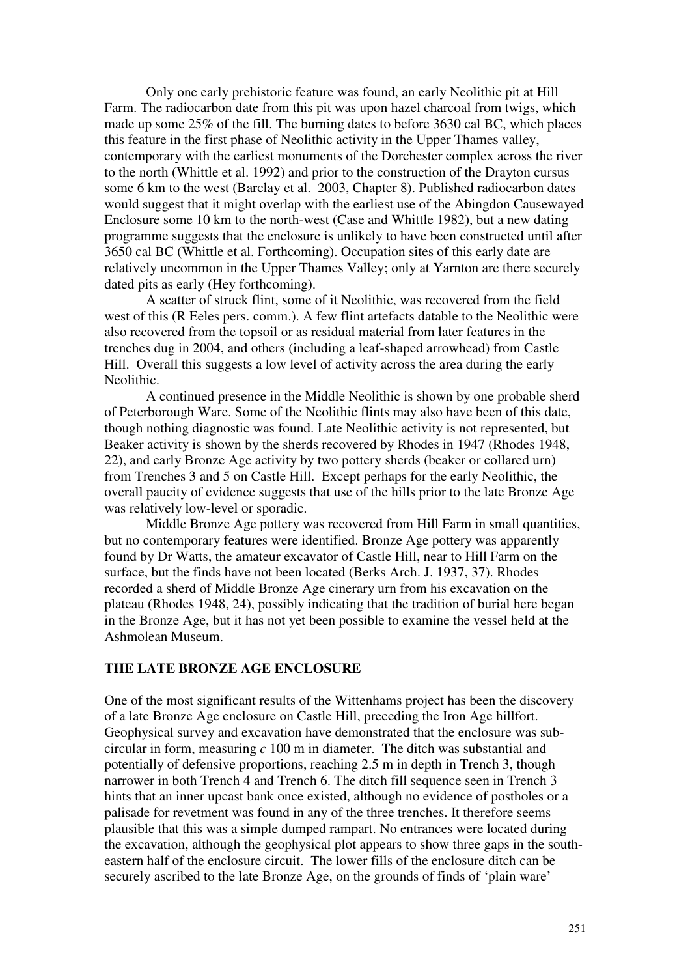Only one early prehistoric feature was found, an early Neolithic pit at Hill Farm. The radiocarbon date from this pit was upon hazel charcoal from twigs, which made up some 25% of the fill. The burning dates to before 3630 cal BC, which places this feature in the first phase of Neolithic activity in the Upper Thames valley, contemporary with the earliest monuments of the Dorchester complex across the river to the north (Whittle et al. 1992) and prior to the construction of the Drayton cursus some 6 km to the west (Barclay et al. 2003, Chapter 8). Published radiocarbon dates would suggest that it might overlap with the earliest use of the Abingdon Causewayed Enclosure some 10 km to the north-west (Case and Whittle 1982), but a new dating programme suggests that the enclosure is unlikely to have been constructed until after 3650 cal BC (Whittle et al. Forthcoming). Occupation sites of this early date are relatively uncommon in the Upper Thames Valley; only at Yarnton are there securely dated pits as early (Hey forthcoming).

A scatter of struck flint, some of it Neolithic, was recovered from the field west of this (R Eeles pers. comm.). A few flint artefacts datable to the Neolithic were also recovered from the topsoil or as residual material from later features in the trenches dug in 2004, and others (including a leaf-shaped arrowhead) from Castle Hill. Overall this suggests a low level of activity across the area during the early Neolithic.

A continued presence in the Middle Neolithic is shown by one probable sherd of Peterborough Ware. Some of the Neolithic flints may also have been of this date, though nothing diagnostic was found. Late Neolithic activity is not represented, but Beaker activity is shown by the sherds recovered by Rhodes in 1947 (Rhodes 1948, 22), and early Bronze Age activity by two pottery sherds (beaker or collared urn) from Trenches 3 and 5 on Castle Hill. Except perhaps for the early Neolithic, the overall paucity of evidence suggests that use of the hills prior to the late Bronze Age was relatively low-level or sporadic.

Middle Bronze Age pottery was recovered from Hill Farm in small quantities, but no contemporary features were identified. Bronze Age pottery was apparently found by Dr Watts, the amateur excavator of Castle Hill, near to Hill Farm on the surface, but the finds have not been located (Berks Arch. J. 1937, 37). Rhodes recorded a sherd of Middle Bronze Age cinerary urn from his excavation on the plateau (Rhodes 1948, 24), possibly indicating that the tradition of burial here began in the Bronze Age, but it has not yet been possible to examine the vessel held at the Ashmolean Museum.

# **THE LATE BRONZE AGE ENCLOSURE**

One of the most significant results of the Wittenhams project has been the discovery of a late Bronze Age enclosure on Castle Hill, preceding the Iron Age hillfort. Geophysical survey and excavation have demonstrated that the enclosure was subcircular in form, measuring *c* 100 m in diameter. The ditch was substantial and potentially of defensive proportions, reaching 2.5 m in depth in Trench 3, though narrower in both Trench 4 and Trench 6. The ditch fill sequence seen in Trench 3 hints that an inner upcast bank once existed, although no evidence of postholes or a palisade for revetment was found in any of the three trenches. It therefore seems plausible that this was a simple dumped rampart. No entrances were located during the excavation, although the geophysical plot appears to show three gaps in the southeastern half of the enclosure circuit. The lower fills of the enclosure ditch can be securely ascribed to the late Bronze Age, on the grounds of finds of 'plain ware'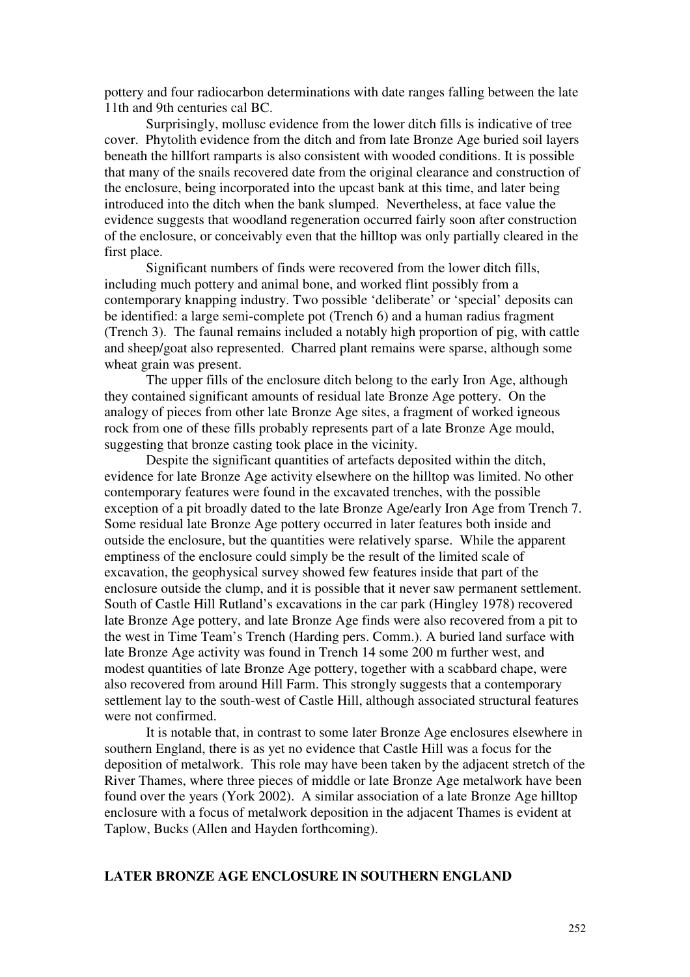pottery and four radiocarbon determinations with date ranges falling between the late 11th and 9th centuries cal BC.

 Surprisingly, mollusc evidence from the lower ditch fills is indicative of tree cover. Phytolith evidence from the ditch and from late Bronze Age buried soil layers beneath the hillfort ramparts is also consistent with wooded conditions. It is possible that many of the snails recovered date from the original clearance and construction of the enclosure, being incorporated into the upcast bank at this time, and later being introduced into the ditch when the bank slumped. Nevertheless, at face value the evidence suggests that woodland regeneration occurred fairly soon after construction of the enclosure, or conceivably even that the hilltop was only partially cleared in the first place.

Significant numbers of finds were recovered from the lower ditch fills, including much pottery and animal bone, and worked flint possibly from a contemporary knapping industry. Two possible 'deliberate' or 'special' deposits can be identified: a large semi-complete pot (Trench 6) and a human radius fragment (Trench 3). The faunal remains included a notably high proportion of pig, with cattle and sheep/goat also represented. Charred plant remains were sparse, although some wheat grain was present.

 The upper fills of the enclosure ditch belong to the early Iron Age, although they contained significant amounts of residual late Bronze Age pottery. On the analogy of pieces from other late Bronze Age sites, a fragment of worked igneous rock from one of these fills probably represents part of a late Bronze Age mould, suggesting that bronze casting took place in the vicinity.

 Despite the significant quantities of artefacts deposited within the ditch, evidence for late Bronze Age activity elsewhere on the hilltop was limited. No other contemporary features were found in the excavated trenches, with the possible exception of a pit broadly dated to the late Bronze Age/early Iron Age from Trench 7. Some residual late Bronze Age pottery occurred in later features both inside and outside the enclosure, but the quantities were relatively sparse. While the apparent emptiness of the enclosure could simply be the result of the limited scale of excavation, the geophysical survey showed few features inside that part of the enclosure outside the clump, and it is possible that it never saw permanent settlement. South of Castle Hill Rutland's excavations in the car park (Hingley 1978) recovered late Bronze Age pottery, and late Bronze Age finds were also recovered from a pit to the west in Time Team's Trench (Harding pers. Comm.). A buried land surface with late Bronze Age activity was found in Trench 14 some 200 m further west, and modest quantities of late Bronze Age pottery, together with a scabbard chape, were also recovered from around Hill Farm. This strongly suggests that a contemporary settlement lay to the south-west of Castle Hill, although associated structural features were not confirmed.

 It is notable that, in contrast to some later Bronze Age enclosures elsewhere in southern England, there is as yet no evidence that Castle Hill was a focus for the deposition of metalwork. This role may have been taken by the adjacent stretch of the River Thames, where three pieces of middle or late Bronze Age metalwork have been found over the years (York 2002). A similar association of a late Bronze Age hilltop enclosure with a focus of metalwork deposition in the adjacent Thames is evident at Taplow, Bucks (Allen and Hayden forthcoming).

### **LATER BRONZE AGE ENCLOSURE IN SOUTHERN ENGLAND**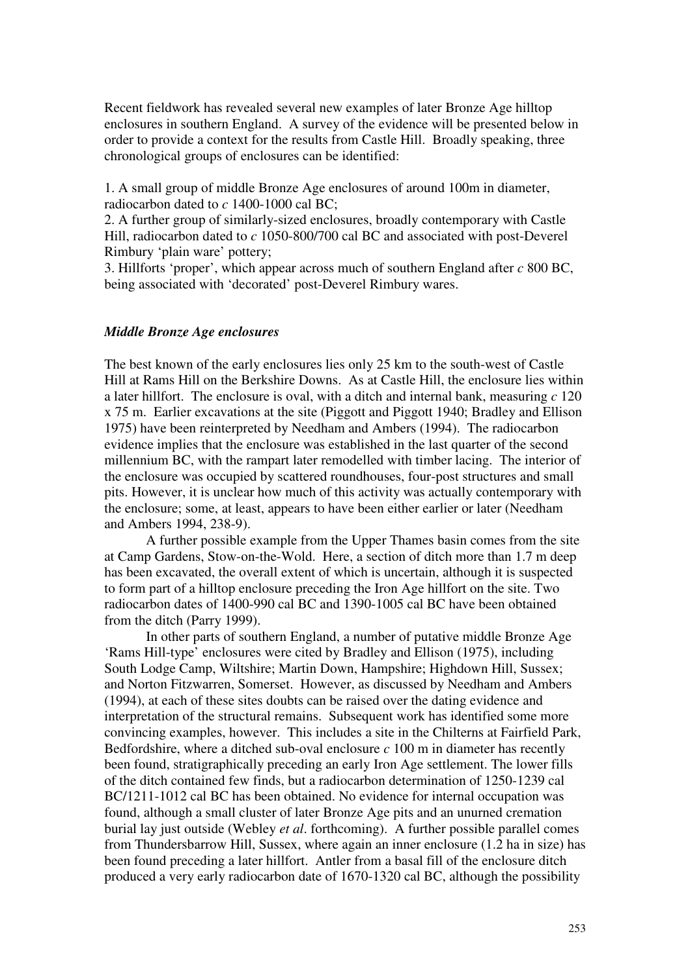Recent fieldwork has revealed several new examples of later Bronze Age hilltop enclosures in southern England. A survey of the evidence will be presented below in order to provide a context for the results from Castle Hill. Broadly speaking, three chronological groups of enclosures can be identified:

1. A small group of middle Bronze Age enclosures of around 100m in diameter, radiocarbon dated to *c* 1400-1000 cal BC;

2. A further group of similarly-sized enclosures, broadly contemporary with Castle Hill, radiocarbon dated to *c* 1050-800/700 cal BC and associated with post-Deverel Rimbury 'plain ware' pottery;

3. Hillforts 'proper', which appear across much of southern England after *c* 800 BC, being associated with 'decorated' post-Deverel Rimbury wares.

#### *Middle Bronze Age enclosures*

The best known of the early enclosures lies only 25 km to the south-west of Castle Hill at Rams Hill on the Berkshire Downs. As at Castle Hill, the enclosure lies within a later hillfort. The enclosure is oval, with a ditch and internal bank, measuring *c* 120 x 75 m. Earlier excavations at the site (Piggott and Piggott 1940; Bradley and Ellison 1975) have been reinterpreted by Needham and Ambers (1994). The radiocarbon evidence implies that the enclosure was established in the last quarter of the second millennium BC, with the rampart later remodelled with timber lacing. The interior of the enclosure was occupied by scattered roundhouses, four-post structures and small pits. However, it is unclear how much of this activity was actually contemporary with the enclosure; some, at least, appears to have been either earlier or later (Needham and Ambers 1994, 238-9).

 A further possible example from the Upper Thames basin comes from the site at Camp Gardens, Stow-on-the-Wold. Here, a section of ditch more than 1.7 m deep has been excavated, the overall extent of which is uncertain, although it is suspected to form part of a hilltop enclosure preceding the Iron Age hillfort on the site. Two radiocarbon dates of 1400-990 cal BC and 1390-1005 cal BC have been obtained from the ditch (Parry 1999).

 In other parts of southern England, a number of putative middle Bronze Age 'Rams Hill-type' enclosures were cited by Bradley and Ellison (1975), including South Lodge Camp, Wiltshire; Martin Down, Hampshire; Highdown Hill, Sussex; and Norton Fitzwarren, Somerset. However, as discussed by Needham and Ambers (1994), at each of these sites doubts can be raised over the dating evidence and interpretation of the structural remains. Subsequent work has identified some more convincing examples, however. This includes a site in the Chilterns at Fairfield Park, Bedfordshire, where a ditched sub-oval enclosure *c* 100 m in diameter has recently been found, stratigraphically preceding an early Iron Age settlement. The lower fills of the ditch contained few finds, but a radiocarbon determination of 1250-1239 cal BC/1211-1012 cal BC has been obtained. No evidence for internal occupation was found, although a small cluster of later Bronze Age pits and an unurned cremation burial lay just outside (Webley *et al*. forthcoming). A further possible parallel comes from Thundersbarrow Hill, Sussex, where again an inner enclosure (1.2 ha in size) has been found preceding a later hillfort. Antler from a basal fill of the enclosure ditch produced a very early radiocarbon date of 1670-1320 cal BC, although the possibility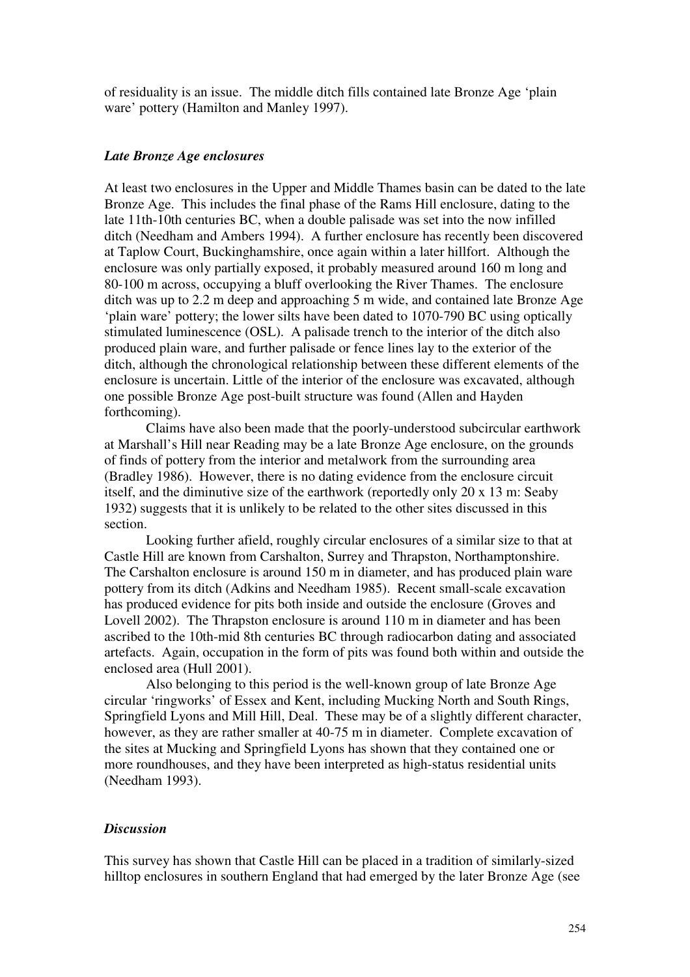of residuality is an issue. The middle ditch fills contained late Bronze Age 'plain ware' pottery (Hamilton and Manley 1997).

#### *Late Bronze Age enclosures*

At least two enclosures in the Upper and Middle Thames basin can be dated to the late Bronze Age. This includes the final phase of the Rams Hill enclosure, dating to the late 11th-10th centuries BC, when a double palisade was set into the now infilled ditch (Needham and Ambers 1994). A further enclosure has recently been discovered at Taplow Court, Buckinghamshire, once again within a later hillfort. Although the enclosure was only partially exposed, it probably measured around 160 m long and 80-100 m across, occupying a bluff overlooking the River Thames. The enclosure ditch was up to 2.2 m deep and approaching 5 m wide, and contained late Bronze Age 'plain ware' pottery; the lower silts have been dated to 1070-790 BC using optically stimulated luminescence (OSL). A palisade trench to the interior of the ditch also produced plain ware, and further palisade or fence lines lay to the exterior of the ditch, although the chronological relationship between these different elements of the enclosure is uncertain. Little of the interior of the enclosure was excavated, although one possible Bronze Age post-built structure was found (Allen and Hayden forthcoming).

Claims have also been made that the poorly-understood subcircular earthwork at Marshall's Hill near Reading may be a late Bronze Age enclosure, on the grounds of finds of pottery from the interior and metalwork from the surrounding area (Bradley 1986). However, there is no dating evidence from the enclosure circuit itself, and the diminutive size of the earthwork (reportedly only 20 x 13 m: Seaby 1932) suggests that it is unlikely to be related to the other sites discussed in this section.

 Looking further afield, roughly circular enclosures of a similar size to that at Castle Hill are known from Carshalton, Surrey and Thrapston, Northamptonshire. The Carshalton enclosure is around 150 m in diameter, and has produced plain ware pottery from its ditch (Adkins and Needham 1985). Recent small-scale excavation has produced evidence for pits both inside and outside the enclosure (Groves and Lovell 2002). The Thrapston enclosure is around 110 m in diameter and has been ascribed to the 10th-mid 8th centuries BC through radiocarbon dating and associated artefacts. Again, occupation in the form of pits was found both within and outside the enclosed area (Hull 2001).

 Also belonging to this period is the well-known group of late Bronze Age circular 'ringworks' of Essex and Kent, including Mucking North and South Rings, Springfield Lyons and Mill Hill, Deal. These may be of a slightly different character, however, as they are rather smaller at 40-75 m in diameter. Complete excavation of the sites at Mucking and Springfield Lyons has shown that they contained one or more roundhouses, and they have been interpreted as high-status residential units (Needham 1993).

### *Discussion*

This survey has shown that Castle Hill can be placed in a tradition of similarly-sized hilltop enclosures in southern England that had emerged by the later Bronze Age (see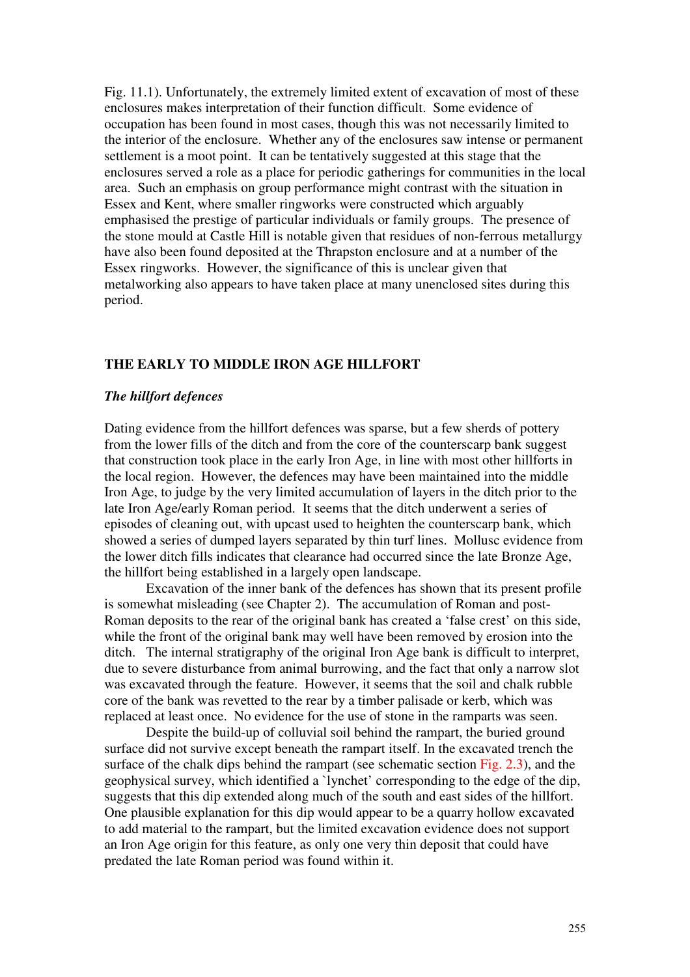Fig. 11.1). Unfortunately, the extremely limited extent of excavation of most of these enclosures makes interpretation of their function difficult. Some evidence of occupation has been found in most cases, though this was not necessarily limited to the interior of the enclosure. Whether any of the enclosures saw intense or permanent settlement is a moot point. It can be tentatively suggested at this stage that the enclosures served a role as a place for periodic gatherings for communities in the local area. Such an emphasis on group performance might contrast with the situation in Essex and Kent, where smaller ringworks were constructed which arguably emphasised the prestige of particular individuals or family groups. The presence of the stone mould at Castle Hill is notable given that residues of non-ferrous metallurgy have also been found deposited at the Thrapston enclosure and at a number of the Essex ringworks. However, the significance of this is unclear given that metalworking also appears to have taken place at many unenclosed sites during this period.

# **THE EARLY TO MIDDLE IRON AGE HILLFORT**

#### *The hillfort defences*

Dating evidence from the hillfort defences was sparse, but a few sherds of pottery from the lower fills of the ditch and from the core of the counterscarp bank suggest that construction took place in the early Iron Age, in line with most other hillforts in the local region. However, the defences may have been maintained into the middle Iron Age, to judge by the very limited accumulation of layers in the ditch prior to the late Iron Age/early Roman period. It seems that the ditch underwent a series of episodes of cleaning out, with upcast used to heighten the counterscarp bank, which showed a series of dumped layers separated by thin turf lines. Mollusc evidence from the lower ditch fills indicates that clearance had occurred since the late Bronze Age, the hillfort being established in a largely open landscape.

 Excavation of the inner bank of the defences has shown that its present profile is somewhat misleading (see Chapter 2). The accumulation of Roman and post-Roman deposits to the rear of the original bank has created a 'false crest' on this side, while the front of the original bank may well have been removed by erosion into the ditch. The internal stratigraphy of the original Iron Age bank is difficult to interpret, due to severe disturbance from animal burrowing, and the fact that only a narrow slot was excavated through the feature. However, it seems that the soil and chalk rubble core of the bank was revetted to the rear by a timber palisade or kerb, which was replaced at least once. No evidence for the use of stone in the ramparts was seen.

 Despite the build-up of colluvial soil behind the rampart, the buried ground surface did not survive except beneath the rampart itself. In the excavated trench the surface of the chalk dips behind the rampart (see schematic section Fig. 2.3), and the geophysical survey, which identified a `lynchet' corresponding to the edge of the dip, suggests that this dip extended along much of the south and east sides of the hillfort. One plausible explanation for this dip would appear to be a quarry hollow excavated to add material to the rampart, but the limited excavation evidence does not support an Iron Age origin for this feature, as only one very thin deposit that could have predated the late Roman period was found within it.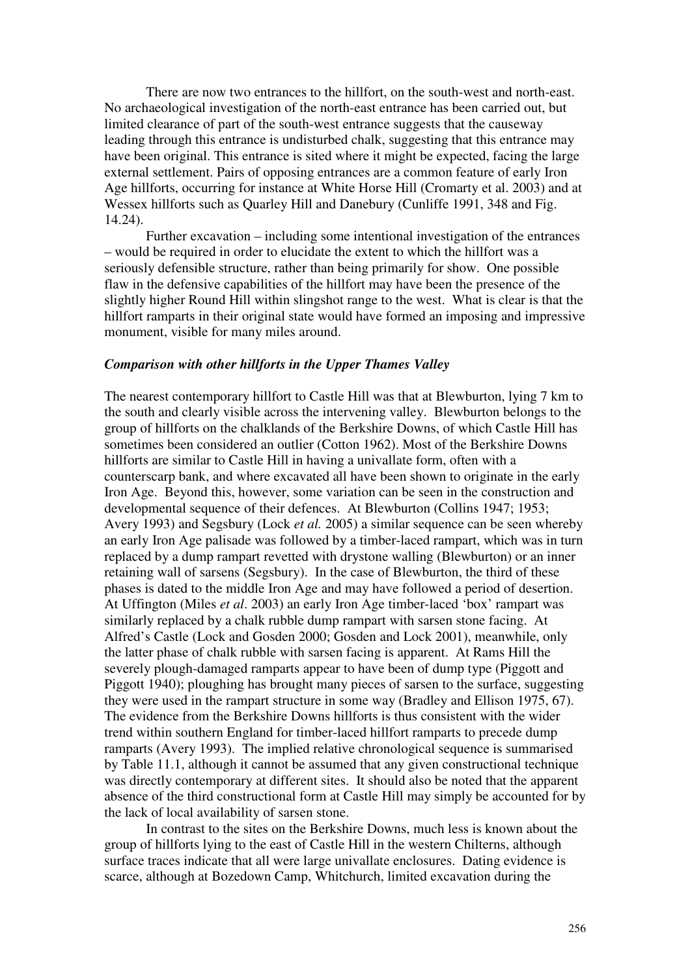There are now two entrances to the hillfort, on the south-west and north-east. No archaeological investigation of the north-east entrance has been carried out, but limited clearance of part of the south-west entrance suggests that the causeway leading through this entrance is undisturbed chalk, suggesting that this entrance may have been original. This entrance is sited where it might be expected, facing the large external settlement. Pairs of opposing entrances are a common feature of early Iron Age hillforts, occurring for instance at White Horse Hill (Cromarty et al. 2003) and at Wessex hillforts such as Quarley Hill and Danebury (Cunliffe 1991, 348 and Fig. 14.24).

Further excavation – including some intentional investigation of the entrances – would be required in order to elucidate the extent to which the hillfort was a seriously defensible structure, rather than being primarily for show. One possible flaw in the defensive capabilities of the hillfort may have been the presence of the slightly higher Round Hill within slingshot range to the west. What is clear is that the hillfort ramparts in their original state would have formed an imposing and impressive monument, visible for many miles around.

# *Comparison with other hillforts in the Upper Thames Valley*

The nearest contemporary hillfort to Castle Hill was that at Blewburton, lying 7 km to the south and clearly visible across the intervening valley. Blewburton belongs to the group of hillforts on the chalklands of the Berkshire Downs, of which Castle Hill has sometimes been considered an outlier (Cotton 1962). Most of the Berkshire Downs hillforts are similar to Castle Hill in having a univallate form, often with a counterscarp bank, and where excavated all have been shown to originate in the early Iron Age. Beyond this, however, some variation can be seen in the construction and developmental sequence of their defences. At Blewburton (Collins 1947; 1953; Avery 1993) and Segsbury (Lock *et al.* 2005) a similar sequence can be seen whereby an early Iron Age palisade was followed by a timber-laced rampart, which was in turn replaced by a dump rampart revetted with drystone walling (Blewburton) or an inner retaining wall of sarsens (Segsbury). In the case of Blewburton, the third of these phases is dated to the middle Iron Age and may have followed a period of desertion. At Uffington (Miles *et al*. 2003) an early Iron Age timber-laced 'box' rampart was similarly replaced by a chalk rubble dump rampart with sarsen stone facing. At Alfred's Castle (Lock and Gosden 2000; Gosden and Lock 2001), meanwhile, only the latter phase of chalk rubble with sarsen facing is apparent. At Rams Hill the severely plough-damaged ramparts appear to have been of dump type (Piggott and Piggott 1940); ploughing has brought many pieces of sarsen to the surface, suggesting they were used in the rampart structure in some way (Bradley and Ellison 1975, 67). The evidence from the Berkshire Downs hillforts is thus consistent with the wider trend within southern England for timber-laced hillfort ramparts to precede dump ramparts (Avery 1993). The implied relative chronological sequence is summarised by Table 11.1, although it cannot be assumed that any given constructional technique was directly contemporary at different sites. It should also be noted that the apparent absence of the third constructional form at Castle Hill may simply be accounted for by the lack of local availability of sarsen stone.

In contrast to the sites on the Berkshire Downs, much less is known about the group of hillforts lying to the east of Castle Hill in the western Chilterns, although surface traces indicate that all were large univallate enclosures. Dating evidence is scarce, although at Bozedown Camp, Whitchurch, limited excavation during the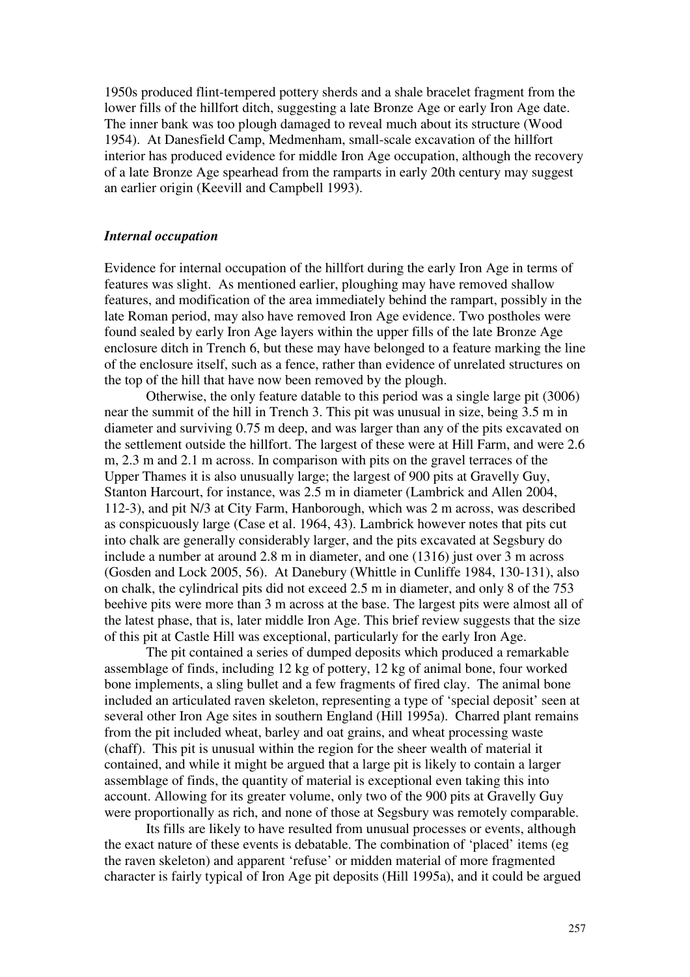1950s produced flint-tempered pottery sherds and a shale bracelet fragment from the lower fills of the hillfort ditch, suggesting a late Bronze Age or early Iron Age date. The inner bank was too plough damaged to reveal much about its structure (Wood 1954). At Danesfield Camp, Medmenham, small-scale excavation of the hillfort interior has produced evidence for middle Iron Age occupation, although the recovery of a late Bronze Age spearhead from the ramparts in early 20th century may suggest an earlier origin (Keevill and Campbell 1993).

### *Internal occupation*

Evidence for internal occupation of the hillfort during the early Iron Age in terms of features was slight. As mentioned earlier, ploughing may have removed shallow features, and modification of the area immediately behind the rampart, possibly in the late Roman period, may also have removed Iron Age evidence. Two postholes were found sealed by early Iron Age layers within the upper fills of the late Bronze Age enclosure ditch in Trench 6, but these may have belonged to a feature marking the line of the enclosure itself, such as a fence, rather than evidence of unrelated structures on the top of the hill that have now been removed by the plough.

Otherwise, the only feature datable to this period was a single large pit (3006) near the summit of the hill in Trench 3. This pit was unusual in size, being 3.5 m in diameter and surviving 0.75 m deep, and was larger than any of the pits excavated on the settlement outside the hillfort. The largest of these were at Hill Farm, and were 2.6 m, 2.3 m and 2.1 m across. In comparison with pits on the gravel terraces of the Upper Thames it is also unusually large; the largest of 900 pits at Gravelly Guy, Stanton Harcourt, for instance, was 2.5 m in diameter (Lambrick and Allen 2004, 112-3), and pit N/3 at City Farm, Hanborough, which was 2 m across, was described as conspicuously large (Case et al. 1964, 43). Lambrick however notes that pits cut into chalk are generally considerably larger, and the pits excavated at Segsbury do include a number at around 2.8 m in diameter, and one (1316) just over 3 m across (Gosden and Lock 2005, 56). At Danebury (Whittle in Cunliffe 1984, 130-131), also on chalk, the cylindrical pits did not exceed 2.5 m in diameter, and only 8 of the 753 beehive pits were more than 3 m across at the base. The largest pits were almost all of the latest phase, that is, later middle Iron Age. This brief review suggests that the size of this pit at Castle Hill was exceptional, particularly for the early Iron Age.

The pit contained a series of dumped deposits which produced a remarkable assemblage of finds, including 12 kg of pottery, 12 kg of animal bone, four worked bone implements, a sling bullet and a few fragments of fired clay. The animal bone included an articulated raven skeleton, representing a type of 'special deposit' seen at several other Iron Age sites in southern England (Hill 1995a). Charred plant remains from the pit included wheat, barley and oat grains, and wheat processing waste (chaff). This pit is unusual within the region for the sheer wealth of material it contained, and while it might be argued that a large pit is likely to contain a larger assemblage of finds, the quantity of material is exceptional even taking this into account. Allowing for its greater volume, only two of the 900 pits at Gravelly Guy were proportionally as rich, and none of those at Segsbury was remotely comparable.

Its fills are likely to have resulted from unusual processes or events, although the exact nature of these events is debatable. The combination of 'placed' items (eg the raven skeleton) and apparent 'refuse' or midden material of more fragmented character is fairly typical of Iron Age pit deposits (Hill 1995a), and it could be argued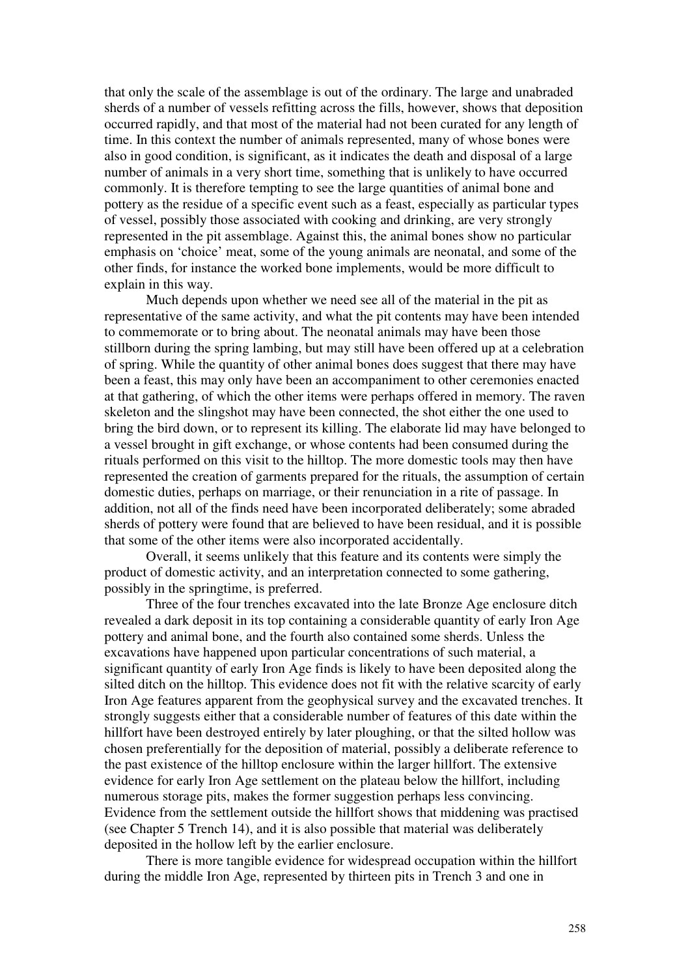that only the scale of the assemblage is out of the ordinary. The large and unabraded sherds of a number of vessels refitting across the fills, however, shows that deposition occurred rapidly, and that most of the material had not been curated for any length of time. In this context the number of animals represented, many of whose bones were also in good condition, is significant, as it indicates the death and disposal of a large number of animals in a very short time, something that is unlikely to have occurred commonly. It is therefore tempting to see the large quantities of animal bone and pottery as the residue of a specific event such as a feast, especially as particular types of vessel, possibly those associated with cooking and drinking, are very strongly represented in the pit assemblage. Against this, the animal bones show no particular emphasis on 'choice' meat, some of the young animals are neonatal, and some of the other finds, for instance the worked bone implements, would be more difficult to explain in this way.

Much depends upon whether we need see all of the material in the pit as representative of the same activity, and what the pit contents may have been intended to commemorate or to bring about. The neonatal animals may have been those stillborn during the spring lambing, but may still have been offered up at a celebration of spring. While the quantity of other animal bones does suggest that there may have been a feast, this may only have been an accompaniment to other ceremonies enacted at that gathering, of which the other items were perhaps offered in memory. The raven skeleton and the slingshot may have been connected, the shot either the one used to bring the bird down, or to represent its killing. The elaborate lid may have belonged to a vessel brought in gift exchange, or whose contents had been consumed during the rituals performed on this visit to the hilltop. The more domestic tools may then have represented the creation of garments prepared for the rituals, the assumption of certain domestic duties, perhaps on marriage, or their renunciation in a rite of passage. In addition, not all of the finds need have been incorporated deliberately; some abraded sherds of pottery were found that are believed to have been residual, and it is possible that some of the other items were also incorporated accidentally.

 Overall, it seems unlikely that this feature and its contents were simply the product of domestic activity, and an interpretation connected to some gathering, possibly in the springtime, is preferred.

Three of the four trenches excavated into the late Bronze Age enclosure ditch revealed a dark deposit in its top containing a considerable quantity of early Iron Age pottery and animal bone, and the fourth also contained some sherds. Unless the excavations have happened upon particular concentrations of such material, a significant quantity of early Iron Age finds is likely to have been deposited along the silted ditch on the hilltop. This evidence does not fit with the relative scarcity of early Iron Age features apparent from the geophysical survey and the excavated trenches. It strongly suggests either that a considerable number of features of this date within the hillfort have been destroyed entirely by later ploughing, or that the silted hollow was chosen preferentially for the deposition of material, possibly a deliberate reference to the past existence of the hilltop enclosure within the larger hillfort. The extensive evidence for early Iron Age settlement on the plateau below the hillfort, including numerous storage pits, makes the former suggestion perhaps less convincing. Evidence from the settlement outside the hillfort shows that middening was practised (see Chapter 5 Trench 14), and it is also possible that material was deliberately deposited in the hollow left by the earlier enclosure.

There is more tangible evidence for widespread occupation within the hillfort during the middle Iron Age, represented by thirteen pits in Trench 3 and one in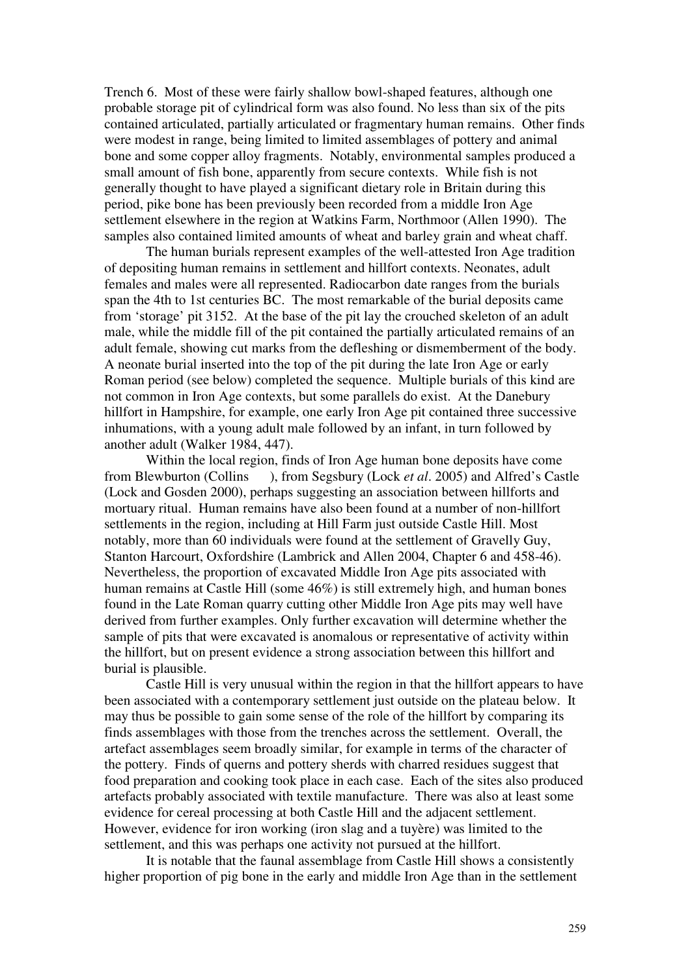Trench 6. Most of these were fairly shallow bowl-shaped features, although one probable storage pit of cylindrical form was also found. No less than six of the pits contained articulated, partially articulated or fragmentary human remains. Other finds were modest in range, being limited to limited assemblages of pottery and animal bone and some copper alloy fragments. Notably, environmental samples produced a small amount of fish bone, apparently from secure contexts. While fish is not generally thought to have played a significant dietary role in Britain during this period, pike bone has been previously been recorded from a middle Iron Age settlement elsewhere in the region at Watkins Farm, Northmoor (Allen 1990). The samples also contained limited amounts of wheat and barley grain and wheat chaff.

The human burials represent examples of the well-attested Iron Age tradition of depositing human remains in settlement and hillfort contexts. Neonates, adult females and males were all represented. Radiocarbon date ranges from the burials span the 4th to 1st centuries BC. The most remarkable of the burial deposits came from 'storage' pit 3152. At the base of the pit lay the crouched skeleton of an adult male, while the middle fill of the pit contained the partially articulated remains of an adult female, showing cut marks from the defleshing or dismemberment of the body. A neonate burial inserted into the top of the pit during the late Iron Age or early Roman period (see below) completed the sequence. Multiple burials of this kind are not common in Iron Age contexts, but some parallels do exist. At the Danebury hillfort in Hampshire, for example, one early Iron Age pit contained three successive inhumations, with a young adult male followed by an infant, in turn followed by another adult (Walker 1984, 447).

Within the local region, finds of Iron Age human bone deposits have come from Blewburton (Collins ), from Segsbury (Lock *et al*. 2005) and Alfred's Castle (Lock and Gosden 2000), perhaps suggesting an association between hillforts and mortuary ritual. Human remains have also been found at a number of non-hillfort settlements in the region, including at Hill Farm just outside Castle Hill. Most notably, more than 60 individuals were found at the settlement of Gravelly Guy, Stanton Harcourt, Oxfordshire (Lambrick and Allen 2004, Chapter 6 and 458-46). Nevertheless, the proportion of excavated Middle Iron Age pits associated with human remains at Castle Hill (some 46%) is still extremely high, and human bones found in the Late Roman quarry cutting other Middle Iron Age pits may well have derived from further examples. Only further excavation will determine whether the sample of pits that were excavated is anomalous or representative of activity within the hillfort, but on present evidence a strong association between this hillfort and burial is plausible.

Castle Hill is very unusual within the region in that the hillfort appears to have been associated with a contemporary settlement just outside on the plateau below. It may thus be possible to gain some sense of the role of the hillfort by comparing its finds assemblages with those from the trenches across the settlement. Overall, the artefact assemblages seem broadly similar, for example in terms of the character of the pottery. Finds of querns and pottery sherds with charred residues suggest that food preparation and cooking took place in each case. Each of the sites also produced artefacts probably associated with textile manufacture. There was also at least some evidence for cereal processing at both Castle Hill and the adjacent settlement. However, evidence for iron working (iron slag and a tuyère) was limited to the settlement, and this was perhaps one activity not pursued at the hillfort.

It is notable that the faunal assemblage from Castle Hill shows a consistently higher proportion of pig bone in the early and middle Iron Age than in the settlement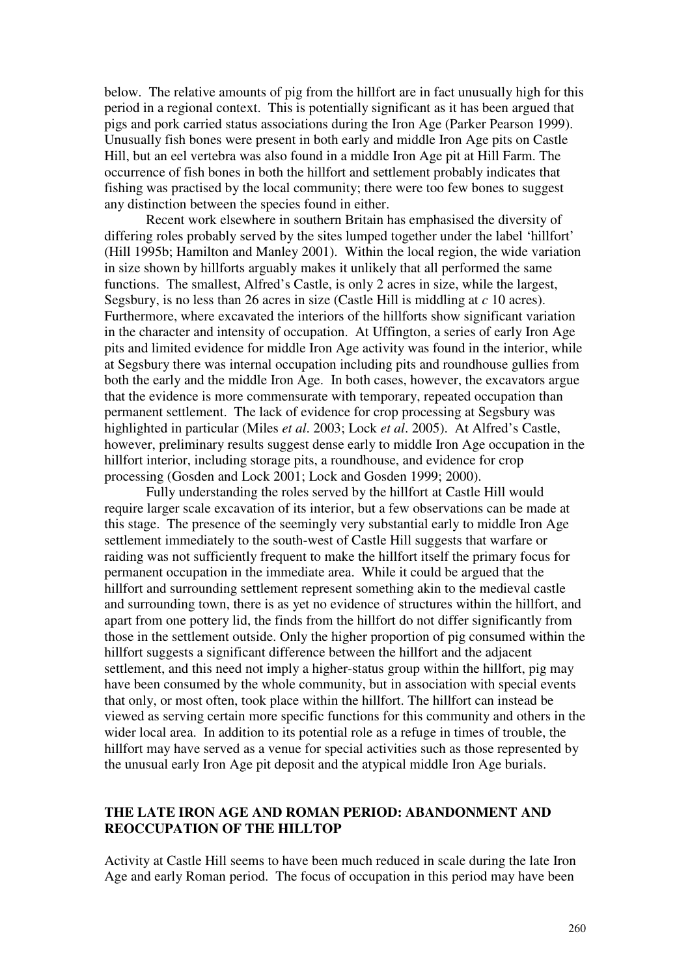below. The relative amounts of pig from the hillfort are in fact unusually high for this period in a regional context. This is potentially significant as it has been argued that pigs and pork carried status associations during the Iron Age (Parker Pearson 1999). Unusually fish bones were present in both early and middle Iron Age pits on Castle Hill, but an eel vertebra was also found in a middle Iron Age pit at Hill Farm. The occurrence of fish bones in both the hillfort and settlement probably indicates that fishing was practised by the local community; there were too few bones to suggest any distinction between the species found in either.

 Recent work elsewhere in southern Britain has emphasised the diversity of differing roles probably served by the sites lumped together under the label 'hillfort' (Hill 1995b; Hamilton and Manley 2001). Within the local region, the wide variation in size shown by hillforts arguably makes it unlikely that all performed the same functions. The smallest, Alfred's Castle, is only 2 acres in size, while the largest, Segsbury, is no less than 26 acres in size (Castle Hill is middling at *c* 10 acres). Furthermore, where excavated the interiors of the hillforts show significant variation in the character and intensity of occupation. At Uffington, a series of early Iron Age pits and limited evidence for middle Iron Age activity was found in the interior, while at Segsbury there was internal occupation including pits and roundhouse gullies from both the early and the middle Iron Age. In both cases, however, the excavators argue that the evidence is more commensurate with temporary, repeated occupation than permanent settlement. The lack of evidence for crop processing at Segsbury was highlighted in particular (Miles *et al*. 2003; Lock *et al*. 2005). At Alfred's Castle, however, preliminary results suggest dense early to middle Iron Age occupation in the hillfort interior, including storage pits, a roundhouse, and evidence for crop processing (Gosden and Lock 2001; Lock and Gosden 1999; 2000).

 Fully understanding the roles served by the hillfort at Castle Hill would require larger scale excavation of its interior, but a few observations can be made at this stage. The presence of the seemingly very substantial early to middle Iron Age settlement immediately to the south-west of Castle Hill suggests that warfare or raiding was not sufficiently frequent to make the hillfort itself the primary focus for permanent occupation in the immediate area. While it could be argued that the hillfort and surrounding settlement represent something akin to the medieval castle and surrounding town, there is as yet no evidence of structures within the hillfort, and apart from one pottery lid, the finds from the hillfort do not differ significantly from those in the settlement outside. Only the higher proportion of pig consumed within the hillfort suggests a significant difference between the hillfort and the adjacent settlement, and this need not imply a higher-status group within the hillfort, pig may have been consumed by the whole community, but in association with special events that only, or most often, took place within the hillfort. The hillfort can instead be viewed as serving certain more specific functions for this community and others in the wider local area. In addition to its potential role as a refuge in times of trouble, the hillfort may have served as a venue for special activities such as those represented by the unusual early Iron Age pit deposit and the atypical middle Iron Age burials.

# **THE LATE IRON AGE AND ROMAN PERIOD: ABANDONMENT AND REOCCUPATION OF THE HILLTOP**

Activity at Castle Hill seems to have been much reduced in scale during the late Iron Age and early Roman period. The focus of occupation in this period may have been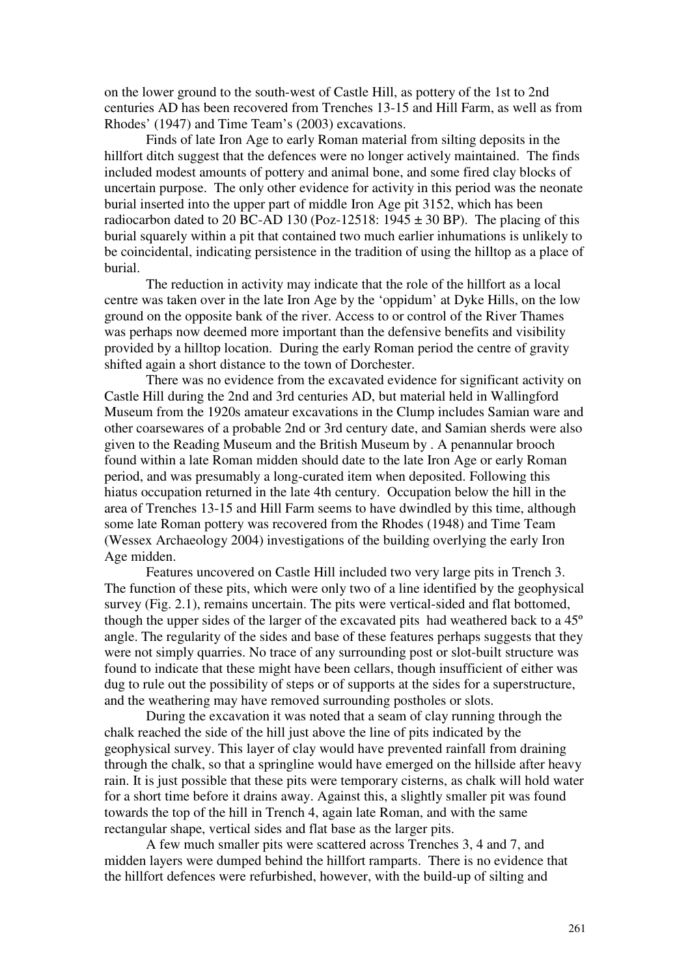on the lower ground to the south-west of Castle Hill, as pottery of the 1st to 2nd centuries AD has been recovered from Trenches 13-15 and Hill Farm, as well as from Rhodes' (1947) and Time Team's (2003) excavations.

Finds of late Iron Age to early Roman material from silting deposits in the hillfort ditch suggest that the defences were no longer actively maintained. The finds included modest amounts of pottery and animal bone, and some fired clay blocks of uncertain purpose. The only other evidence for activity in this period was the neonate burial inserted into the upper part of middle Iron Age pit 3152, which has been radiocarbon dated to 20 BC-AD 130 (Poz-12518:  $1945 \pm 30$  BP). The placing of this burial squarely within a pit that contained two much earlier inhumations is unlikely to be coincidental, indicating persistence in the tradition of using the hilltop as a place of burial.

The reduction in activity may indicate that the role of the hillfort as a local centre was taken over in the late Iron Age by the 'oppidum' at Dyke Hills, on the low ground on the opposite bank of the river. Access to or control of the River Thames was perhaps now deemed more important than the defensive benefits and visibility provided by a hilltop location. During the early Roman period the centre of gravity shifted again a short distance to the town of Dorchester.

 There was no evidence from the excavated evidence for significant activity on Castle Hill during the 2nd and 3rd centuries AD, but material held in Wallingford Museum from the 1920s amateur excavations in the Clump includes Samian ware and other coarsewares of a probable 2nd or 3rd century date, and Samian sherds were also given to the Reading Museum and the British Museum by . A penannular brooch found within a late Roman midden should date to the late Iron Age or early Roman period, and was presumably a long-curated item when deposited. Following this hiatus occupation returned in the late 4th century. Occupation below the hill in the area of Trenches 13-15 and Hill Farm seems to have dwindled by this time, although some late Roman pottery was recovered from the Rhodes (1948) and Time Team (Wessex Archaeology 2004) investigations of the building overlying the early Iron Age midden.

Features uncovered on Castle Hill included two very large pits in Trench 3. The function of these pits, which were only two of a line identified by the geophysical survey (Fig. 2.1), remains uncertain. The pits were vertical-sided and flat bottomed, though the upper sides of the larger of the excavated pits had weathered back to a 45º angle. The regularity of the sides and base of these features perhaps suggests that they were not simply quarries. No trace of any surrounding post or slot-built structure was found to indicate that these might have been cellars, though insufficient of either was dug to rule out the possibility of steps or of supports at the sides for a superstructure, and the weathering may have removed surrounding postholes or slots.

During the excavation it was noted that a seam of clay running through the chalk reached the side of the hill just above the line of pits indicated by the geophysical survey. This layer of clay would have prevented rainfall from draining through the chalk, so that a springline would have emerged on the hillside after heavy rain. It is just possible that these pits were temporary cisterns, as chalk will hold water for a short time before it drains away. Against this, a slightly smaller pit was found towards the top of the hill in Trench 4, again late Roman, and with the same rectangular shape, vertical sides and flat base as the larger pits.

A few much smaller pits were scattered across Trenches 3, 4 and 7, and midden layers were dumped behind the hillfort ramparts. There is no evidence that the hillfort defences were refurbished, however, with the build-up of silting and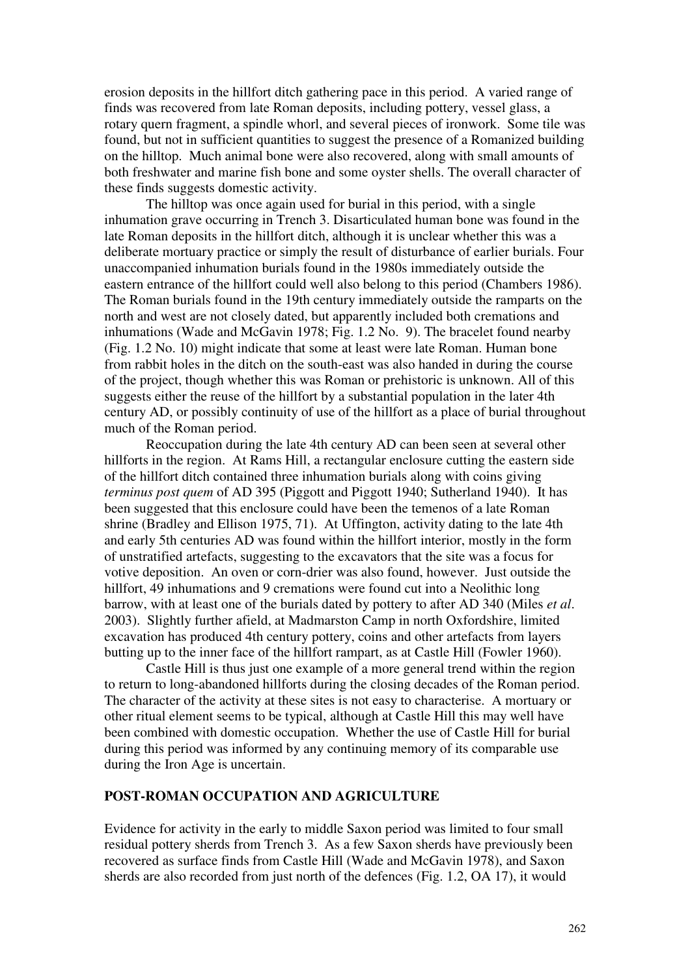erosion deposits in the hillfort ditch gathering pace in this period. A varied range of finds was recovered from late Roman deposits, including pottery, vessel glass, a rotary quern fragment, a spindle whorl, and several pieces of ironwork. Some tile was found, but not in sufficient quantities to suggest the presence of a Romanized building on the hilltop. Much animal bone were also recovered, along with small amounts of both freshwater and marine fish bone and some oyster shells. The overall character of these finds suggests domestic activity.

The hilltop was once again used for burial in this period, with a single inhumation grave occurring in Trench 3. Disarticulated human bone was found in the late Roman deposits in the hillfort ditch, although it is unclear whether this was a deliberate mortuary practice or simply the result of disturbance of earlier burials. Four unaccompanied inhumation burials found in the 1980s immediately outside the eastern entrance of the hillfort could well also belong to this period (Chambers 1986). The Roman burials found in the 19th century immediately outside the ramparts on the north and west are not closely dated, but apparently included both cremations and inhumations (Wade and McGavin 1978; Fig. 1.2 No. 9). The bracelet found nearby (Fig. 1.2 No. 10) might indicate that some at least were late Roman. Human bone from rabbit holes in the ditch on the south-east was also handed in during the course of the project, though whether this was Roman or prehistoric is unknown. All of this suggests either the reuse of the hillfort by a substantial population in the later 4th century AD, or possibly continuity of use of the hillfort as a place of burial throughout much of the Roman period.

 Reoccupation during the late 4th century AD can been seen at several other hillforts in the region. At Rams Hill, a rectangular enclosure cutting the eastern side of the hillfort ditch contained three inhumation burials along with coins giving *terminus post quem* of AD 395 (Piggott and Piggott 1940; Sutherland 1940). It has been suggested that this enclosure could have been the temenos of a late Roman shrine (Bradley and Ellison 1975, 71). At Uffington, activity dating to the late 4th and early 5th centuries AD was found within the hillfort interior, mostly in the form of unstratified artefacts, suggesting to the excavators that the site was a focus for votive deposition. An oven or corn-drier was also found, however. Just outside the hillfort, 49 inhumations and 9 cremations were found cut into a Neolithic long barrow, with at least one of the burials dated by pottery to after AD 340 (Miles *et al*. 2003). Slightly further afield, at Madmarston Camp in north Oxfordshire, limited excavation has produced 4th century pottery, coins and other artefacts from layers butting up to the inner face of the hillfort rampart, as at Castle Hill (Fowler 1960).

 Castle Hill is thus just one example of a more general trend within the region to return to long-abandoned hillforts during the closing decades of the Roman period. The character of the activity at these sites is not easy to characterise. A mortuary or other ritual element seems to be typical, although at Castle Hill this may well have been combined with domestic occupation. Whether the use of Castle Hill for burial during this period was informed by any continuing memory of its comparable use during the Iron Age is uncertain.

# **POST-ROMAN OCCUPATION AND AGRICULTURE**

Evidence for activity in the early to middle Saxon period was limited to four small residual pottery sherds from Trench 3. As a few Saxon sherds have previously been recovered as surface finds from Castle Hill (Wade and McGavin 1978), and Saxon sherds are also recorded from just north of the defences (Fig. 1.2, OA 17), it would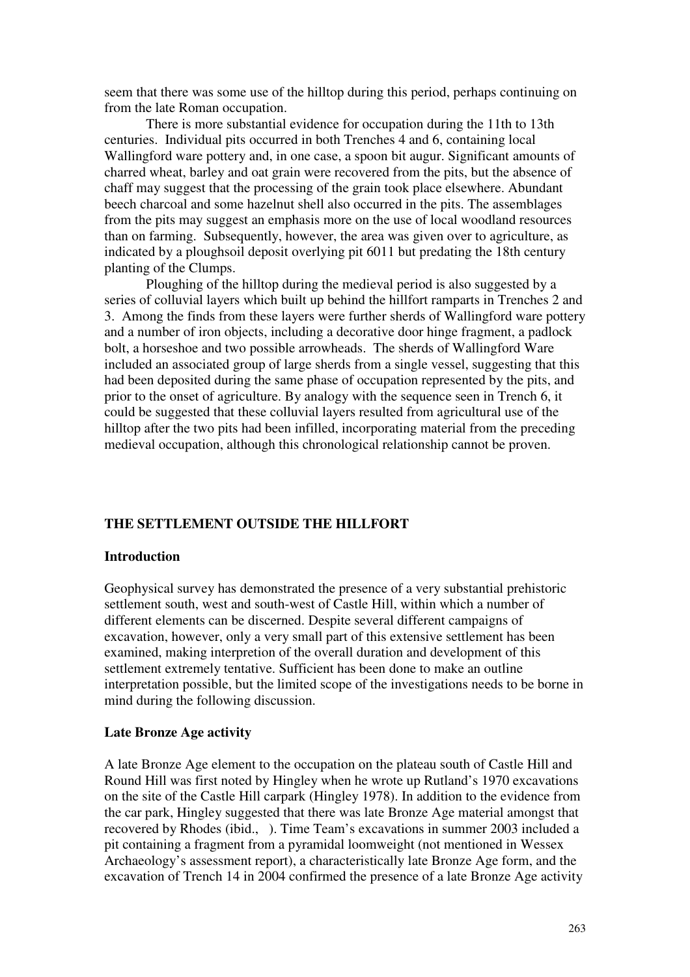seem that there was some use of the hilltop during this period, perhaps continuing on from the late Roman occupation.

 There is more substantial evidence for occupation during the 11th to 13th centuries. Individual pits occurred in both Trenches 4 and 6, containing local Wallingford ware pottery and, in one case, a spoon bit augur. Significant amounts of charred wheat, barley and oat grain were recovered from the pits, but the absence of chaff may suggest that the processing of the grain took place elsewhere. Abundant beech charcoal and some hazelnut shell also occurred in the pits. The assemblages from the pits may suggest an emphasis more on the use of local woodland resources than on farming. Subsequently, however, the area was given over to agriculture, as indicated by a ploughsoil deposit overlying pit 6011 but predating the 18th century planting of the Clumps.

 Ploughing of the hilltop during the medieval period is also suggested by a series of colluvial layers which built up behind the hillfort ramparts in Trenches 2 and 3. Among the finds from these layers were further sherds of Wallingford ware pottery and a number of iron objects, including a decorative door hinge fragment, a padlock bolt, a horseshoe and two possible arrowheads. The sherds of Wallingford Ware included an associated group of large sherds from a single vessel, suggesting that this had been deposited during the same phase of occupation represented by the pits, and prior to the onset of agriculture. By analogy with the sequence seen in Trench 6, it could be suggested that these colluvial layers resulted from agricultural use of the hilltop after the two pits had been infilled, incorporating material from the preceding medieval occupation, although this chronological relationship cannot be proven.

#### **THE SETTLEMENT OUTSIDE THE HILLFORT**

#### **Introduction**

Geophysical survey has demonstrated the presence of a very substantial prehistoric settlement south, west and south-west of Castle Hill, within which a number of different elements can be discerned. Despite several different campaigns of excavation, however, only a very small part of this extensive settlement has been examined, making interpretion of the overall duration and development of this settlement extremely tentative. Sufficient has been done to make an outline interpretation possible, but the limited scope of the investigations needs to be borne in mind during the following discussion.

#### **Late Bronze Age activity**

A late Bronze Age element to the occupation on the plateau south of Castle Hill and Round Hill was first noted by Hingley when he wrote up Rutland's 1970 excavations on the site of the Castle Hill carpark (Hingley 1978). In addition to the evidence from the car park, Hingley suggested that there was late Bronze Age material amongst that recovered by Rhodes (ibid., ). Time Team's excavations in summer 2003 included a pit containing a fragment from a pyramidal loomweight (not mentioned in Wessex Archaeology's assessment report), a characteristically late Bronze Age form, and the excavation of Trench 14 in 2004 confirmed the presence of a late Bronze Age activity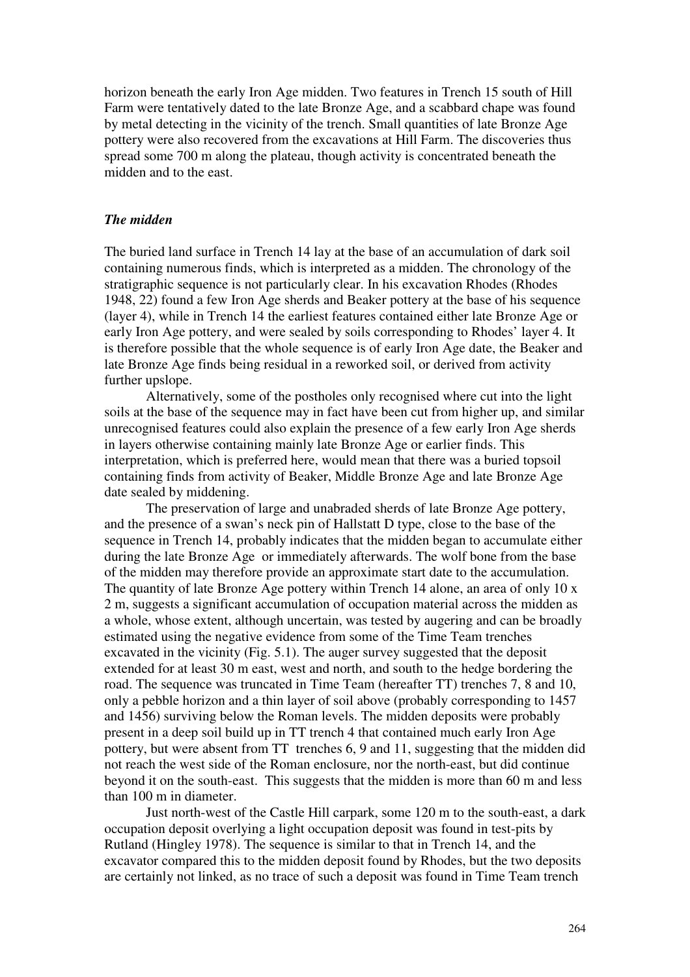horizon beneath the early Iron Age midden. Two features in Trench 15 south of Hill Farm were tentatively dated to the late Bronze Age, and a scabbard chape was found by metal detecting in the vicinity of the trench. Small quantities of late Bronze Age pottery were also recovered from the excavations at Hill Farm. The discoveries thus spread some 700 m along the plateau, though activity is concentrated beneath the midden and to the east.

#### *The midden*

The buried land surface in Trench 14 lay at the base of an accumulation of dark soil containing numerous finds, which is interpreted as a midden. The chronology of the stratigraphic sequence is not particularly clear. In his excavation Rhodes (Rhodes 1948, 22) found a few Iron Age sherds and Beaker pottery at the base of his sequence (layer 4), while in Trench 14 the earliest features contained either late Bronze Age or early Iron Age pottery, and were sealed by soils corresponding to Rhodes' layer 4. It is therefore possible that the whole sequence is of early Iron Age date, the Beaker and late Bronze Age finds being residual in a reworked soil, or derived from activity further upslope.

Alternatively, some of the postholes only recognised where cut into the light soils at the base of the sequence may in fact have been cut from higher up, and similar unrecognised features could also explain the presence of a few early Iron Age sherds in layers otherwise containing mainly late Bronze Age or earlier finds. This interpretation, which is preferred here, would mean that there was a buried topsoil containing finds from activity of Beaker, Middle Bronze Age and late Bronze Age date sealed by middening.

The preservation of large and unabraded sherds of late Bronze Age pottery, and the presence of a swan's neck pin of Hallstatt D type, close to the base of the sequence in Trench 14, probably indicates that the midden began to accumulate either during the late Bronze Age or immediately afterwards. The wolf bone from the base of the midden may therefore provide an approximate start date to the accumulation. The quantity of late Bronze Age pottery within Trench 14 alone, an area of only 10 x 2 m, suggests a significant accumulation of occupation material across the midden as a whole, whose extent, although uncertain, was tested by augering and can be broadly estimated using the negative evidence from some of the Time Team trenches excavated in the vicinity (Fig. 5.1). The auger survey suggested that the deposit extended for at least 30 m east, west and north, and south to the hedge bordering the road. The sequence was truncated in Time Team (hereafter TT) trenches 7, 8 and 10, only a pebble horizon and a thin layer of soil above (probably corresponding to 1457 and 1456) surviving below the Roman levels. The midden deposits were probably present in a deep soil build up in TT trench 4 that contained much early Iron Age pottery, but were absent from TT trenches 6, 9 and 11, suggesting that the midden did not reach the west side of the Roman enclosure, nor the north-east, but did continue beyond it on the south-east. This suggests that the midden is more than 60 m and less than 100 m in diameter.

Just north-west of the Castle Hill carpark, some 120 m to the south-east, a dark occupation deposit overlying a light occupation deposit was found in test-pits by Rutland (Hingley 1978). The sequence is similar to that in Trench 14, and the excavator compared this to the midden deposit found by Rhodes, but the two deposits are certainly not linked, as no trace of such a deposit was found in Time Team trench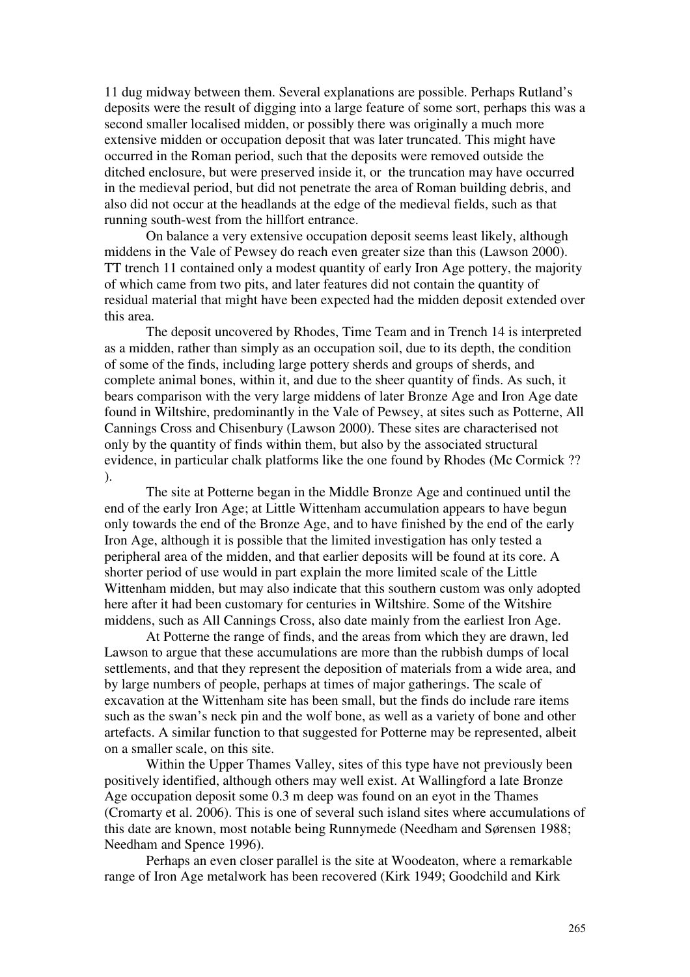11 dug midway between them. Several explanations are possible. Perhaps Rutland's deposits were the result of digging into a large feature of some sort, perhaps this was a second smaller localised midden, or possibly there was originally a much more extensive midden or occupation deposit that was later truncated. This might have occurred in the Roman period, such that the deposits were removed outside the ditched enclosure, but were preserved inside it, or the truncation may have occurred in the medieval period, but did not penetrate the area of Roman building debris, and also did not occur at the headlands at the edge of the medieval fields, such as that running south-west from the hillfort entrance.

On balance a very extensive occupation deposit seems least likely, although middens in the Vale of Pewsey do reach even greater size than this (Lawson 2000). TT trench 11 contained only a modest quantity of early Iron Age pottery, the majority of which came from two pits, and later features did not contain the quantity of residual material that might have been expected had the midden deposit extended over this area.

The deposit uncovered by Rhodes, Time Team and in Trench 14 is interpreted as a midden, rather than simply as an occupation soil, due to its depth, the condition of some of the finds, including large pottery sherds and groups of sherds, and complete animal bones, within it, and due to the sheer quantity of finds. As such, it bears comparison with the very large middens of later Bronze Age and Iron Age date found in Wiltshire, predominantly in the Vale of Pewsey, at sites such as Potterne, All Cannings Cross and Chisenbury (Lawson 2000). These sites are characterised not only by the quantity of finds within them, but also by the associated structural evidence, in particular chalk platforms like the one found by Rhodes (Mc Cormick ?? ).

The site at Potterne began in the Middle Bronze Age and continued until the end of the early Iron Age; at Little Wittenham accumulation appears to have begun only towards the end of the Bronze Age, and to have finished by the end of the early Iron Age, although it is possible that the limited investigation has only tested a peripheral area of the midden, and that earlier deposits will be found at its core. A shorter period of use would in part explain the more limited scale of the Little Wittenham midden, but may also indicate that this southern custom was only adopted here after it had been customary for centuries in Wiltshire. Some of the Witshire middens, such as All Cannings Cross, also date mainly from the earliest Iron Age.

At Potterne the range of finds, and the areas from which they are drawn, led Lawson to argue that these accumulations are more than the rubbish dumps of local settlements, and that they represent the deposition of materials from a wide area, and by large numbers of people, perhaps at times of major gatherings. The scale of excavation at the Wittenham site has been small, but the finds do include rare items such as the swan's neck pin and the wolf bone, as well as a variety of bone and other artefacts. A similar function to that suggested for Potterne may be represented, albeit on a smaller scale, on this site.

 Within the Upper Thames Valley, sites of this type have not previously been positively identified, although others may well exist. At Wallingford a late Bronze Age occupation deposit some 0.3 m deep was found on an eyot in the Thames (Cromarty et al. 2006). This is one of several such island sites where accumulations of this date are known, most notable being Runnymede (Needham and Sørensen 1988; Needham and Spence 1996).

Perhaps an even closer parallel is the site at Woodeaton, where a remarkable range of Iron Age metalwork has been recovered (Kirk 1949; Goodchild and Kirk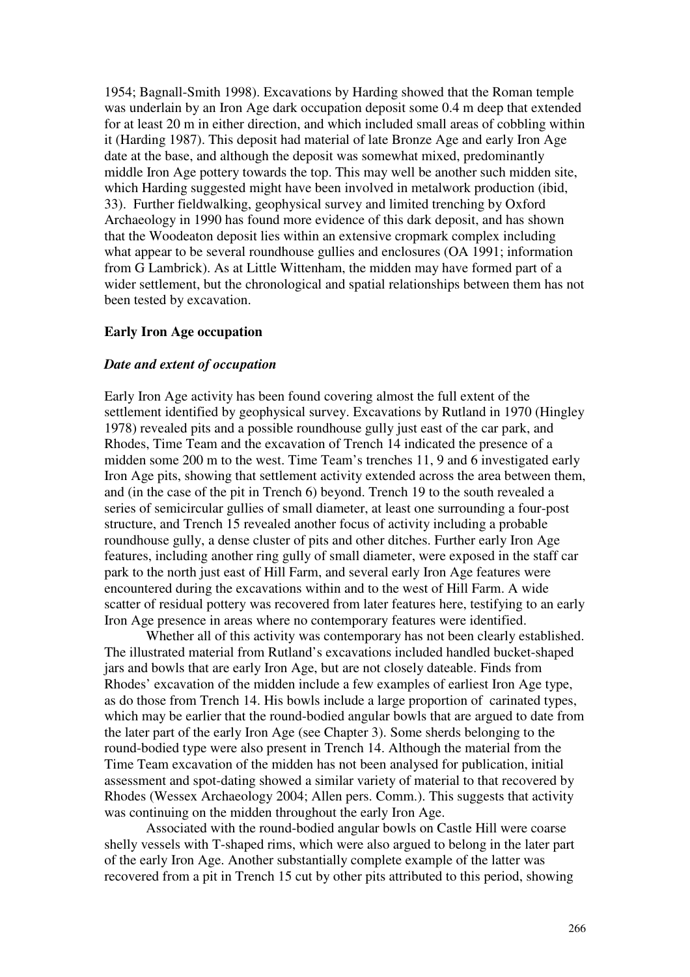1954; Bagnall-Smith 1998). Excavations by Harding showed that the Roman temple was underlain by an Iron Age dark occupation deposit some 0.4 m deep that extended for at least 20 m in either direction, and which included small areas of cobbling within it (Harding 1987). This deposit had material of late Bronze Age and early Iron Age date at the base, and although the deposit was somewhat mixed, predominantly middle Iron Age pottery towards the top. This may well be another such midden site, which Harding suggested might have been involved in metalwork production (ibid, 33). Further fieldwalking, geophysical survey and limited trenching by Oxford Archaeology in 1990 has found more evidence of this dark deposit, and has shown that the Woodeaton deposit lies within an extensive cropmark complex including what appear to be several roundhouse gullies and enclosures (OA 1991; information from G Lambrick). As at Little Wittenham, the midden may have formed part of a wider settlement, but the chronological and spatial relationships between them has not been tested by excavation.

### **Early Iron Age occupation**

#### *Date and extent of occupation*

Early Iron Age activity has been found covering almost the full extent of the settlement identified by geophysical survey. Excavations by Rutland in 1970 (Hingley 1978) revealed pits and a possible roundhouse gully just east of the car park, and Rhodes, Time Team and the excavation of Trench 14 indicated the presence of a midden some 200 m to the west. Time Team's trenches 11, 9 and 6 investigated early Iron Age pits, showing that settlement activity extended across the area between them, and (in the case of the pit in Trench 6) beyond. Trench 19 to the south revealed a series of semicircular gullies of small diameter, at least one surrounding a four-post structure, and Trench 15 revealed another focus of activity including a probable roundhouse gully, a dense cluster of pits and other ditches. Further early Iron Age features, including another ring gully of small diameter, were exposed in the staff car park to the north just east of Hill Farm, and several early Iron Age features were encountered during the excavations within and to the west of Hill Farm. A wide scatter of residual pottery was recovered from later features here, testifying to an early Iron Age presence in areas where no contemporary features were identified.

 Whether all of this activity was contemporary has not been clearly established. The illustrated material from Rutland's excavations included handled bucket-shaped jars and bowls that are early Iron Age, but are not closely dateable. Finds from Rhodes' excavation of the midden include a few examples of earliest Iron Age type, as do those from Trench 14. His bowls include a large proportion of carinated types, which may be earlier that the round-bodied angular bowls that are argued to date from the later part of the early Iron Age (see Chapter 3). Some sherds belonging to the round-bodied type were also present in Trench 14. Although the material from the Time Team excavation of the midden has not been analysed for publication, initial assessment and spot-dating showed a similar variety of material to that recovered by Rhodes (Wessex Archaeology 2004; Allen pers. Comm.). This suggests that activity was continuing on the midden throughout the early Iron Age.

Associated with the round-bodied angular bowls on Castle Hill were coarse shelly vessels with T-shaped rims, which were also argued to belong in the later part of the early Iron Age. Another substantially complete example of the latter was recovered from a pit in Trench 15 cut by other pits attributed to this period, showing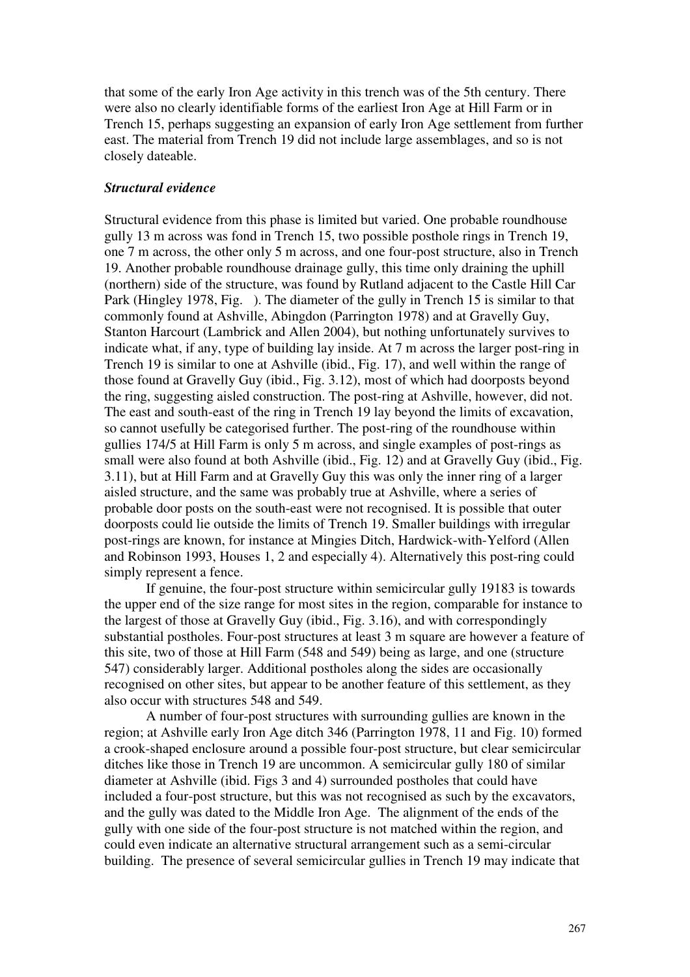that some of the early Iron Age activity in this trench was of the 5th century. There were also no clearly identifiable forms of the earliest Iron Age at Hill Farm or in Trench 15, perhaps suggesting an expansion of early Iron Age settlement from further east. The material from Trench 19 did not include large assemblages, and so is not closely dateable.

### *Structural evidence*

Structural evidence from this phase is limited but varied. One probable roundhouse gully 13 m across was fond in Trench 15, two possible posthole rings in Trench 19, one 7 m across, the other only 5 m across, and one four-post structure, also in Trench 19. Another probable roundhouse drainage gully, this time only draining the uphill (northern) side of the structure, was found by Rutland adjacent to the Castle Hill Car Park (Hingley 1978, Fig. ). The diameter of the gully in Trench 15 is similar to that commonly found at Ashville, Abingdon (Parrington 1978) and at Gravelly Guy, Stanton Harcourt (Lambrick and Allen 2004), but nothing unfortunately survives to indicate what, if any, type of building lay inside. At 7 m across the larger post-ring in Trench 19 is similar to one at Ashville (ibid., Fig. 17), and well within the range of those found at Gravelly Guy (ibid., Fig. 3.12), most of which had doorposts beyond the ring, suggesting aisled construction. The post-ring at Ashville, however, did not. The east and south-east of the ring in Trench 19 lay beyond the limits of excavation, so cannot usefully be categorised further. The post-ring of the roundhouse within gullies 174/5 at Hill Farm is only 5 m across, and single examples of post-rings as small were also found at both Ashville (ibid., Fig. 12) and at Gravelly Guy (ibid., Fig. 3.11), but at Hill Farm and at Gravelly Guy this was only the inner ring of a larger aisled structure, and the same was probably true at Ashville, where a series of probable door posts on the south-east were not recognised. It is possible that outer doorposts could lie outside the limits of Trench 19. Smaller buildings with irregular post-rings are known, for instance at Mingies Ditch, Hardwick-with-Yelford (Allen and Robinson 1993, Houses 1, 2 and especially 4). Alternatively this post-ring could simply represent a fence.

If genuine, the four-post structure within semicircular gully 19183 is towards the upper end of the size range for most sites in the region, comparable for instance to the largest of those at Gravelly Guy (ibid., Fig. 3.16), and with correspondingly substantial postholes. Four-post structures at least 3 m square are however a feature of this site, two of those at Hill Farm (548 and 549) being as large, and one (structure 547) considerably larger. Additional postholes along the sides are occasionally recognised on other sites, but appear to be another feature of this settlement, as they also occur with structures 548 and 549.

A number of four-post structures with surrounding gullies are known in the region; at Ashville early Iron Age ditch 346 (Parrington 1978, 11 and Fig. 10) formed a crook-shaped enclosure around a possible four-post structure, but clear semicircular ditches like those in Trench 19 are uncommon. A semicircular gully 180 of similar diameter at Ashville (ibid. Figs 3 and 4) surrounded postholes that could have included a four-post structure, but this was not recognised as such by the excavators, and the gully was dated to the Middle Iron Age. The alignment of the ends of the gully with one side of the four-post structure is not matched within the region, and could even indicate an alternative structural arrangement such as a semi-circular building. The presence of several semicircular gullies in Trench 19 may indicate that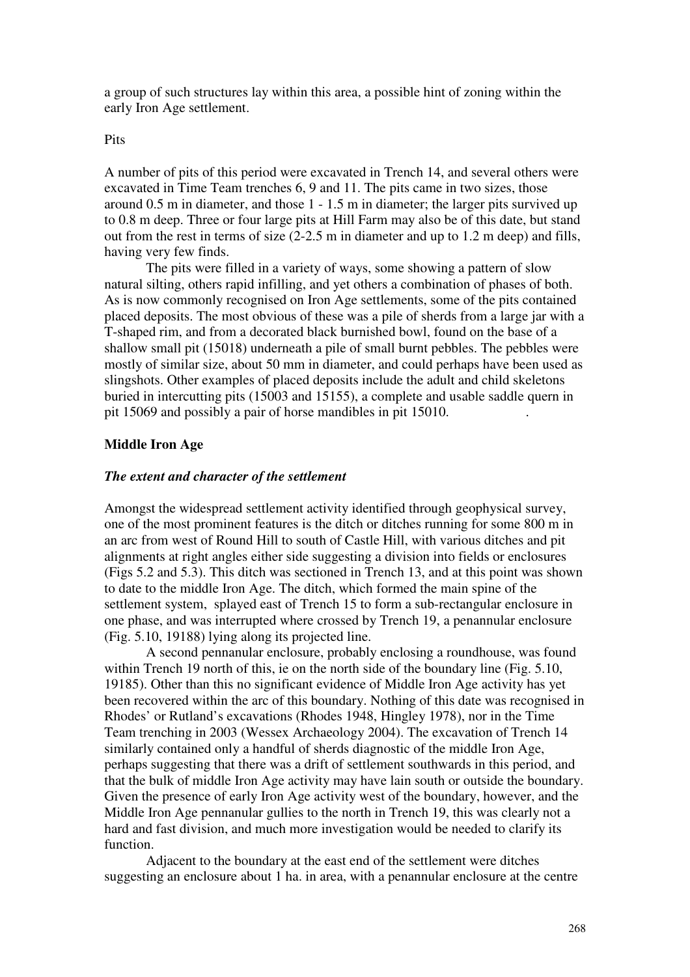a group of such structures lay within this area, a possible hint of zoning within the early Iron Age settlement.

#### Pits

A number of pits of this period were excavated in Trench 14, and several others were excavated in Time Team trenches 6, 9 and 11. The pits came in two sizes, those around 0.5 m in diameter, and those 1 - 1.5 m in diameter; the larger pits survived up to 0.8 m deep. Three or four large pits at Hill Farm may also be of this date, but stand out from the rest in terms of size (2-2.5 m in diameter and up to 1.2 m deep) and fills, having very few finds.

The pits were filled in a variety of ways, some showing a pattern of slow natural silting, others rapid infilling, and yet others a combination of phases of both. As is now commonly recognised on Iron Age settlements, some of the pits contained placed deposits. The most obvious of these was a pile of sherds from a large jar with a T-shaped rim, and from a decorated black burnished bowl, found on the base of a shallow small pit (15018) underneath a pile of small burnt pebbles. The pebbles were mostly of similar size, about 50 mm in diameter, and could perhaps have been used as slingshots. Other examples of placed deposits include the adult and child skeletons buried in intercutting pits (15003 and 15155), a complete and usable saddle quern in pit 15069 and possibly a pair of horse mandibles in pit 15010.

### **Middle Iron Age**

#### *The extent and character of the settlement*

Amongst the widespread settlement activity identified through geophysical survey, one of the most prominent features is the ditch or ditches running for some 800 m in an arc from west of Round Hill to south of Castle Hill, with various ditches and pit alignments at right angles either side suggesting a division into fields or enclosures (Figs 5.2 and 5.3). This ditch was sectioned in Trench 13, and at this point was shown to date to the middle Iron Age. The ditch, which formed the main spine of the settlement system, splayed east of Trench 15 to form a sub-rectangular enclosure in one phase, and was interrupted where crossed by Trench 19, a penannular enclosure (Fig. 5.10, 19188) lying along its projected line.

A second pennanular enclosure, probably enclosing a roundhouse, was found within Trench 19 north of this, ie on the north side of the boundary line (Fig. 5.10, 19185). Other than this no significant evidence of Middle Iron Age activity has yet been recovered within the arc of this boundary. Nothing of this date was recognised in Rhodes' or Rutland's excavations (Rhodes 1948, Hingley 1978), nor in the Time Team trenching in 2003 (Wessex Archaeology 2004). The excavation of Trench 14 similarly contained only a handful of sherds diagnostic of the middle Iron Age, perhaps suggesting that there was a drift of settlement southwards in this period, and that the bulk of middle Iron Age activity may have lain south or outside the boundary. Given the presence of early Iron Age activity west of the boundary, however, and the Middle Iron Age pennanular gullies to the north in Trench 19, this was clearly not a hard and fast division, and much more investigation would be needed to clarify its function.

Adjacent to the boundary at the east end of the settlement were ditches suggesting an enclosure about 1 ha. in area, with a penannular enclosure at the centre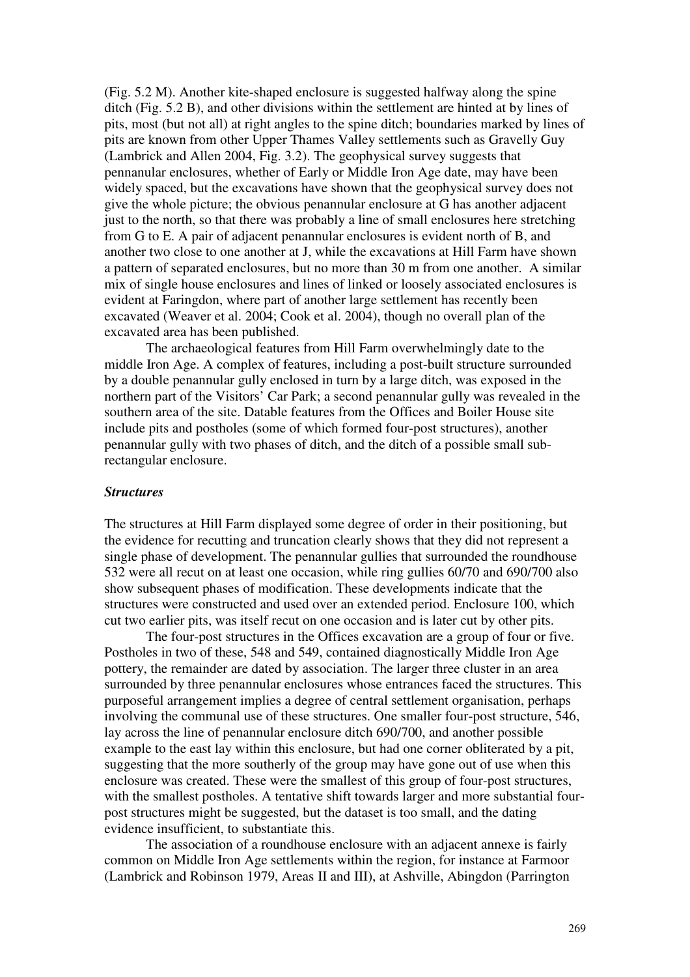(Fig. 5.2 M). Another kite-shaped enclosure is suggested halfway along the spine ditch (Fig. 5.2 B), and other divisions within the settlement are hinted at by lines of pits, most (but not all) at right angles to the spine ditch; boundaries marked by lines of pits are known from other Upper Thames Valley settlements such as Gravelly Guy (Lambrick and Allen 2004, Fig. 3.2). The geophysical survey suggests that pennanular enclosures, whether of Early or Middle Iron Age date, may have been widely spaced, but the excavations have shown that the geophysical survey does not give the whole picture; the obvious penannular enclosure at G has another adjacent just to the north, so that there was probably a line of small enclosures here stretching from G to E. A pair of adjacent penannular enclosures is evident north of B, and another two close to one another at J, while the excavations at Hill Farm have shown a pattern of separated enclosures, but no more than 30 m from one another. A similar mix of single house enclosures and lines of linked or loosely associated enclosures is evident at Faringdon, where part of another large settlement has recently been excavated (Weaver et al. 2004; Cook et al. 2004), though no overall plan of the excavated area has been published.

The archaeological features from Hill Farm overwhelmingly date to the middle Iron Age. A complex of features, including a post-built structure surrounded by a double penannular gully enclosed in turn by a large ditch, was exposed in the northern part of the Visitors' Car Park; a second penannular gully was revealed in the southern area of the site. Datable features from the Offices and Boiler House site include pits and postholes (some of which formed four-post structures), another penannular gully with two phases of ditch, and the ditch of a possible small subrectangular enclosure.

### *Structures*

The structures at Hill Farm displayed some degree of order in their positioning, but the evidence for recutting and truncation clearly shows that they did not represent a single phase of development. The penannular gullies that surrounded the roundhouse 532 were all recut on at least one occasion, while ring gullies 60/70 and 690/700 also show subsequent phases of modification. These developments indicate that the structures were constructed and used over an extended period. Enclosure 100, which cut two earlier pits, was itself recut on one occasion and is later cut by other pits.

The four-post structures in the Offices excavation are a group of four or five. Postholes in two of these, 548 and 549, contained diagnostically Middle Iron Age pottery, the remainder are dated by association. The larger three cluster in an area surrounded by three penannular enclosures whose entrances faced the structures. This purposeful arrangement implies a degree of central settlement organisation, perhaps involving the communal use of these structures. One smaller four-post structure, 546, lay across the line of penannular enclosure ditch 690/700, and another possible example to the east lay within this enclosure, but had one corner obliterated by a pit, suggesting that the more southerly of the group may have gone out of use when this enclosure was created. These were the smallest of this group of four-post structures, with the smallest postholes. A tentative shift towards larger and more substantial fourpost structures might be suggested, but the dataset is too small, and the dating evidence insufficient, to substantiate this.

The association of a roundhouse enclosure with an adjacent annexe is fairly common on Middle Iron Age settlements within the region, for instance at Farmoor (Lambrick and Robinson 1979, Areas II and III), at Ashville, Abingdon (Parrington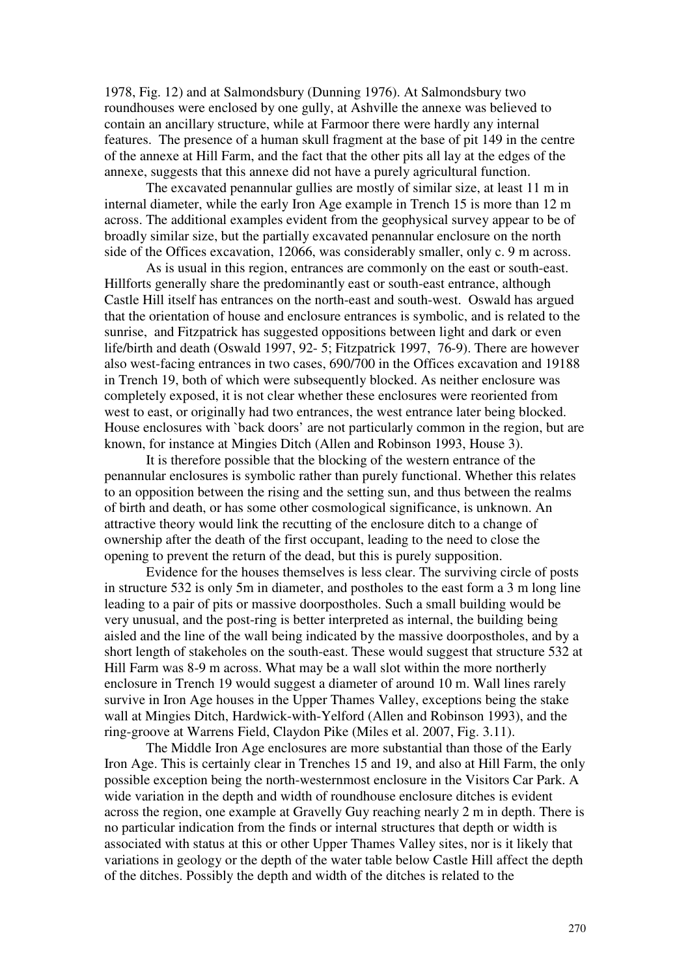1978, Fig. 12) and at Salmondsbury (Dunning 1976). At Salmondsbury two roundhouses were enclosed by one gully, at Ashville the annexe was believed to contain an ancillary structure, while at Farmoor there were hardly any internal features. The presence of a human skull fragment at the base of pit 149 in the centre of the annexe at Hill Farm, and the fact that the other pits all lay at the edges of the annexe, suggests that this annexe did not have a purely agricultural function.

The excavated penannular gullies are mostly of similar size, at least 11 m in internal diameter, while the early Iron Age example in Trench 15 is more than 12 m across. The additional examples evident from the geophysical survey appear to be of broadly similar size, but the partially excavated penannular enclosure on the north side of the Offices excavation, 12066, was considerably smaller, only c. 9 m across.

As is usual in this region, entrances are commonly on the east or south-east. Hillforts generally share the predominantly east or south-east entrance, although Castle Hill itself has entrances on the north-east and south-west. Oswald has argued that the orientation of house and enclosure entrances is symbolic, and is related to the sunrise, and Fitzpatrick has suggested oppositions between light and dark or even life/birth and death (Oswald 1997, 92- 5; Fitzpatrick 1997, 76-9). There are however also west-facing entrances in two cases, 690/700 in the Offices excavation and 19188 in Trench 19, both of which were subsequently blocked. As neither enclosure was completely exposed, it is not clear whether these enclosures were reoriented from west to east, or originally had two entrances, the west entrance later being blocked. House enclosures with `back doors' are not particularly common in the region, but are known, for instance at Mingies Ditch (Allen and Robinson 1993, House 3).

It is therefore possible that the blocking of the western entrance of the penannular enclosures is symbolic rather than purely functional. Whether this relates to an opposition between the rising and the setting sun, and thus between the realms of birth and death, or has some other cosmological significance, is unknown. An attractive theory would link the recutting of the enclosure ditch to a change of ownership after the death of the first occupant, leading to the need to close the opening to prevent the return of the dead, but this is purely supposition.

Evidence for the houses themselves is less clear. The surviving circle of posts in structure 532 is only 5m in diameter, and postholes to the east form a 3 m long line leading to a pair of pits or massive doorpostholes. Such a small building would be very unusual, and the post-ring is better interpreted as internal, the building being aisled and the line of the wall being indicated by the massive doorpostholes, and by a short length of stakeholes on the south-east. These would suggest that structure 532 at Hill Farm was 8-9 m across. What may be a wall slot within the more northerly enclosure in Trench 19 would suggest a diameter of around 10 m. Wall lines rarely survive in Iron Age houses in the Upper Thames Valley, exceptions being the stake wall at Mingies Ditch, Hardwick-with-Yelford (Allen and Robinson 1993), and the ring-groove at Warrens Field, Claydon Pike (Miles et al. 2007, Fig. 3.11).

The Middle Iron Age enclosures are more substantial than those of the Early Iron Age. This is certainly clear in Trenches 15 and 19, and also at Hill Farm, the only possible exception being the north-westernmost enclosure in the Visitors Car Park. A wide variation in the depth and width of roundhouse enclosure ditches is evident across the region, one example at Gravelly Guy reaching nearly 2 m in depth. There is no particular indication from the finds or internal structures that depth or width is associated with status at this or other Upper Thames Valley sites, nor is it likely that variations in geology or the depth of the water table below Castle Hill affect the depth of the ditches. Possibly the depth and width of the ditches is related to the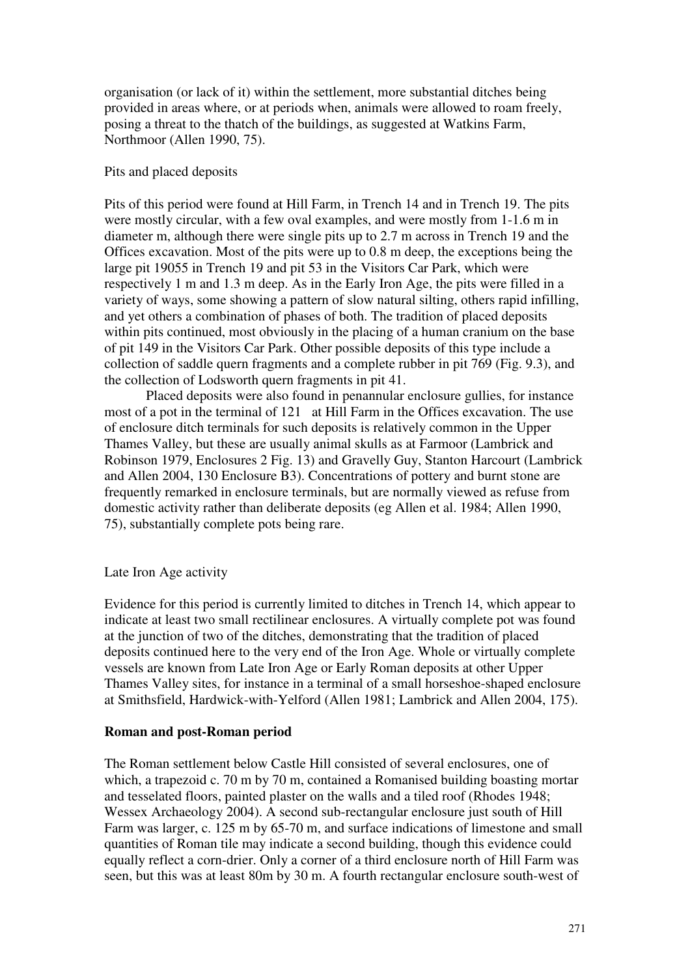organisation (or lack of it) within the settlement, more substantial ditches being provided in areas where, or at periods when, animals were allowed to roam freely, posing a threat to the thatch of the buildings, as suggested at Watkins Farm, Northmoor (Allen 1990, 75).

### Pits and placed deposits

Pits of this period were found at Hill Farm, in Trench 14 and in Trench 19. The pits were mostly circular, with a few oval examples, and were mostly from 1-1.6 m in diameter m, although there were single pits up to 2.7 m across in Trench 19 and the Offices excavation. Most of the pits were up to 0.8 m deep, the exceptions being the large pit 19055 in Trench 19 and pit 53 in the Visitors Car Park, which were respectively 1 m and 1.3 m deep. As in the Early Iron Age, the pits were filled in a variety of ways, some showing a pattern of slow natural silting, others rapid infilling, and yet others a combination of phases of both. The tradition of placed deposits within pits continued, most obviously in the placing of a human cranium on the base of pit 149 in the Visitors Car Park. Other possible deposits of this type include a collection of saddle quern fragments and a complete rubber in pit 769 (Fig. 9.3), and the collection of Lodsworth quern fragments in pit 41.

 Placed deposits were also found in penannular enclosure gullies, for instance most of a pot in the terminal of 121 at Hill Farm in the Offices excavation. The use of enclosure ditch terminals for such deposits is relatively common in the Upper Thames Valley, but these are usually animal skulls as at Farmoor (Lambrick and Robinson 1979, Enclosures 2 Fig. 13) and Gravelly Guy, Stanton Harcourt (Lambrick and Allen 2004, 130 Enclosure B3). Concentrations of pottery and burnt stone are frequently remarked in enclosure terminals, but are normally viewed as refuse from domestic activity rather than deliberate deposits (eg Allen et al. 1984; Allen 1990, 75), substantially complete pots being rare.

# Late Iron Age activity

Evidence for this period is currently limited to ditches in Trench 14, which appear to indicate at least two small rectilinear enclosures. A virtually complete pot was found at the junction of two of the ditches, demonstrating that the tradition of placed deposits continued here to the very end of the Iron Age. Whole or virtually complete vessels are known from Late Iron Age or Early Roman deposits at other Upper Thames Valley sites, for instance in a terminal of a small horseshoe-shaped enclosure at Smithsfield, Hardwick-with-Yelford (Allen 1981; Lambrick and Allen 2004, 175).

# **Roman and post-Roman period**

The Roman settlement below Castle Hill consisted of several enclosures, one of which, a trapezoid c. 70 m by 70 m, contained a Romanised building boasting mortar and tesselated floors, painted plaster on the walls and a tiled roof (Rhodes 1948; Wessex Archaeology 2004). A second sub-rectangular enclosure just south of Hill Farm was larger, c. 125 m by 65-70 m, and surface indications of limestone and small quantities of Roman tile may indicate a second building, though this evidence could equally reflect a corn-drier. Only a corner of a third enclosure north of Hill Farm was seen, but this was at least 80m by 30 m. A fourth rectangular enclosure south-west of